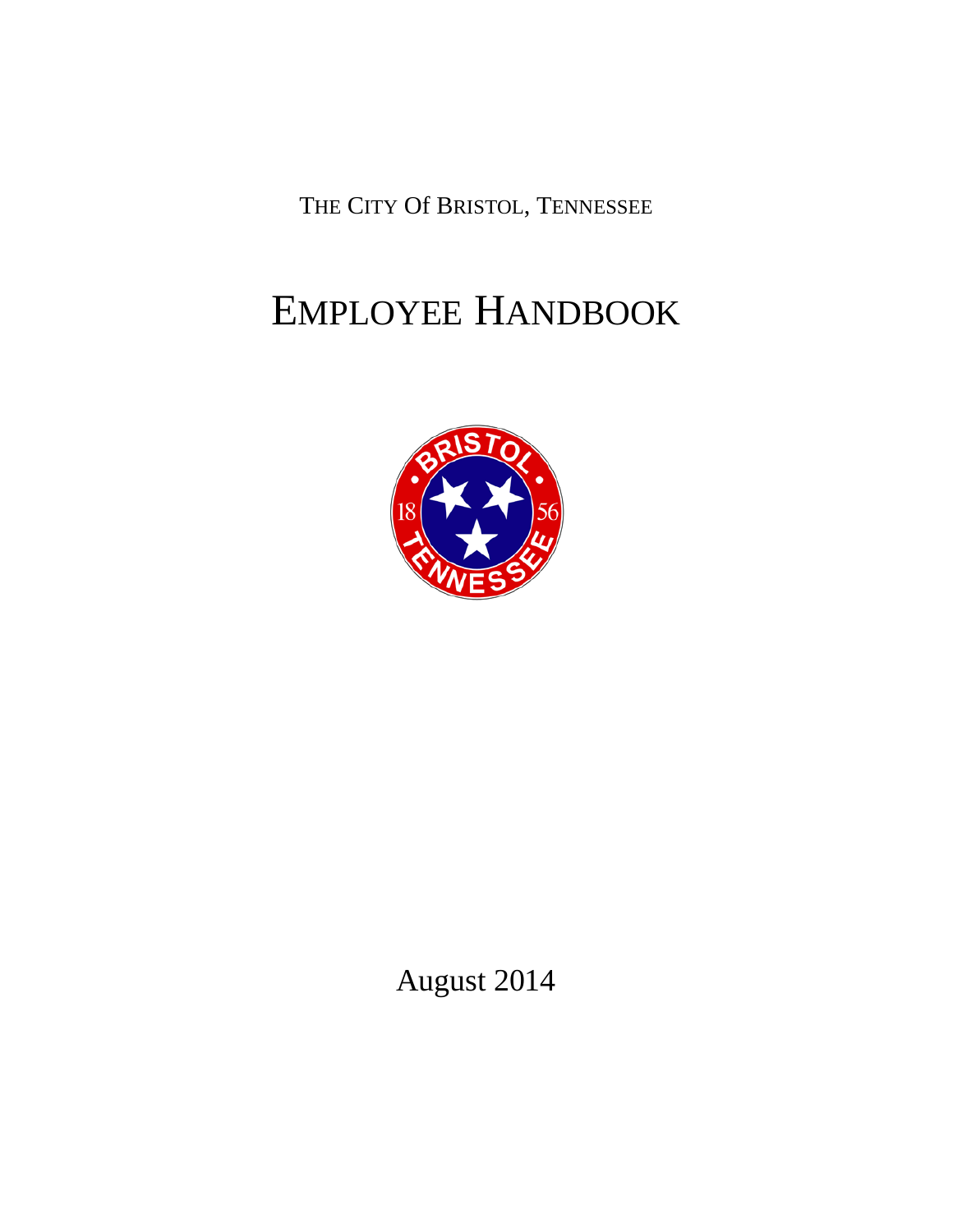THE CITY Of BRISTOL, TENNESSEE

# EMPLOYEE HANDBOOK



August 2014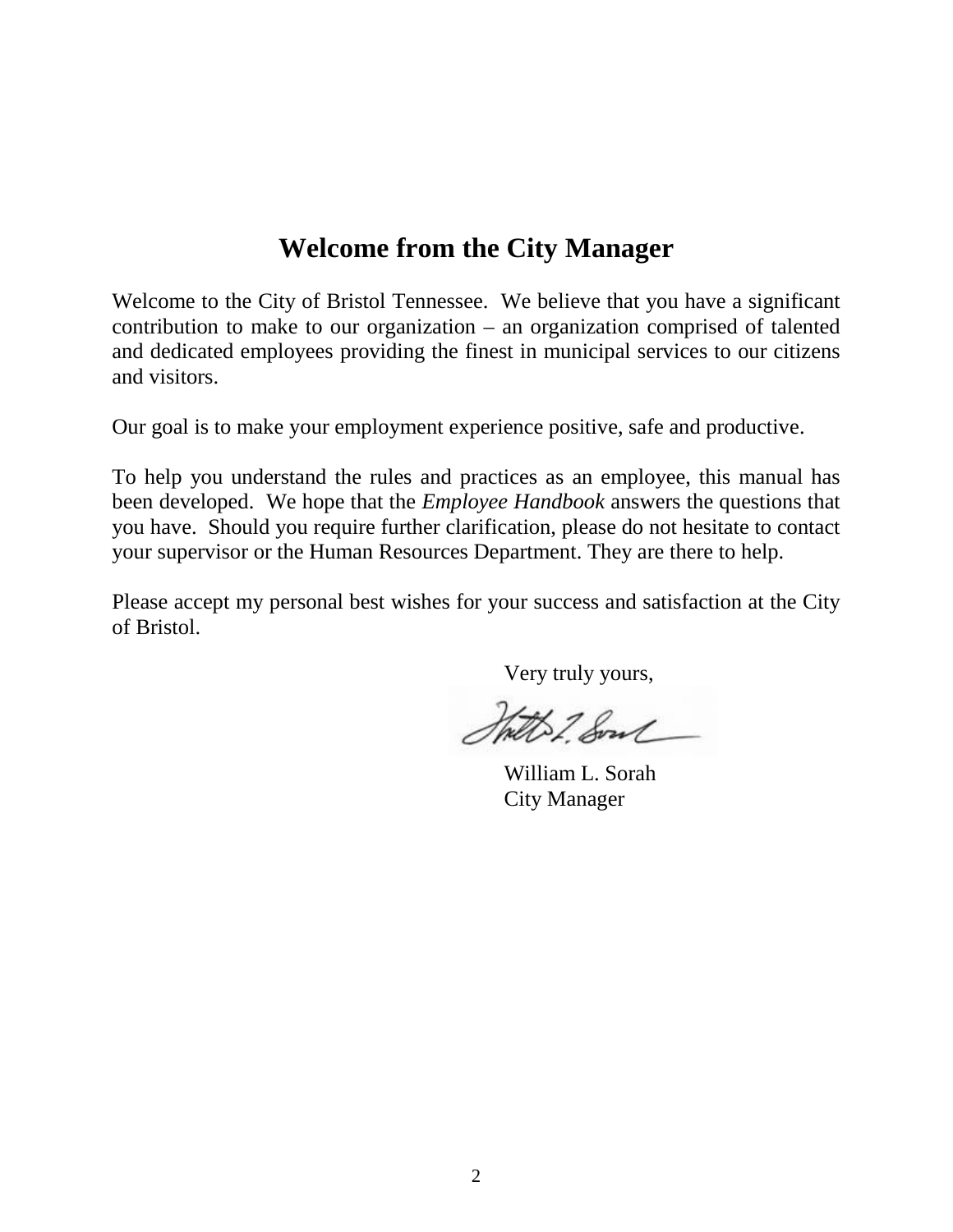# **Welcome from the City Manager**

<span id="page-1-0"></span>Welcome to the City of Bristol Tennessee. We believe that you have a significant contribution to make to our organization – an organization comprised of talented and dedicated employees providing the finest in municipal services to our citizens and visitors.

Our goal is to make your employment experience positive, safe and productive.

To help you understand the rules and practices as an employee, this manual has been developed. We hope that the *Employee Handbook* answers the questions that you have. Should you require further clarification, please do not hesitate to contact your supervisor or the Human Resources Department. They are there to help.

Please accept my personal best wishes for your success and satisfaction at the City of Bristol.

Very truly yours,

Statt 2. Some

William L. Sorah City Manager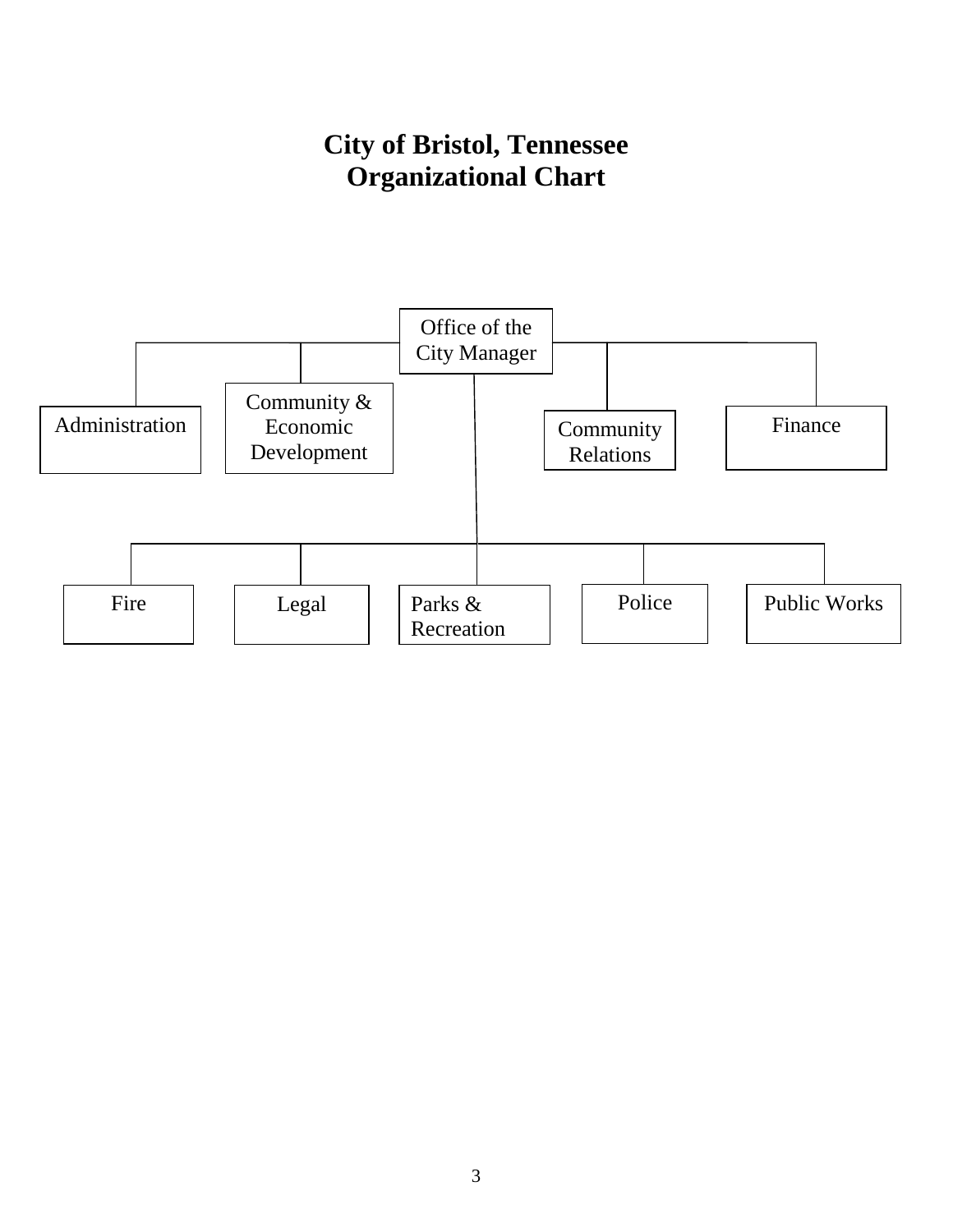# **City of Bristol, Tennessee Organizational Chart**

<span id="page-2-0"></span>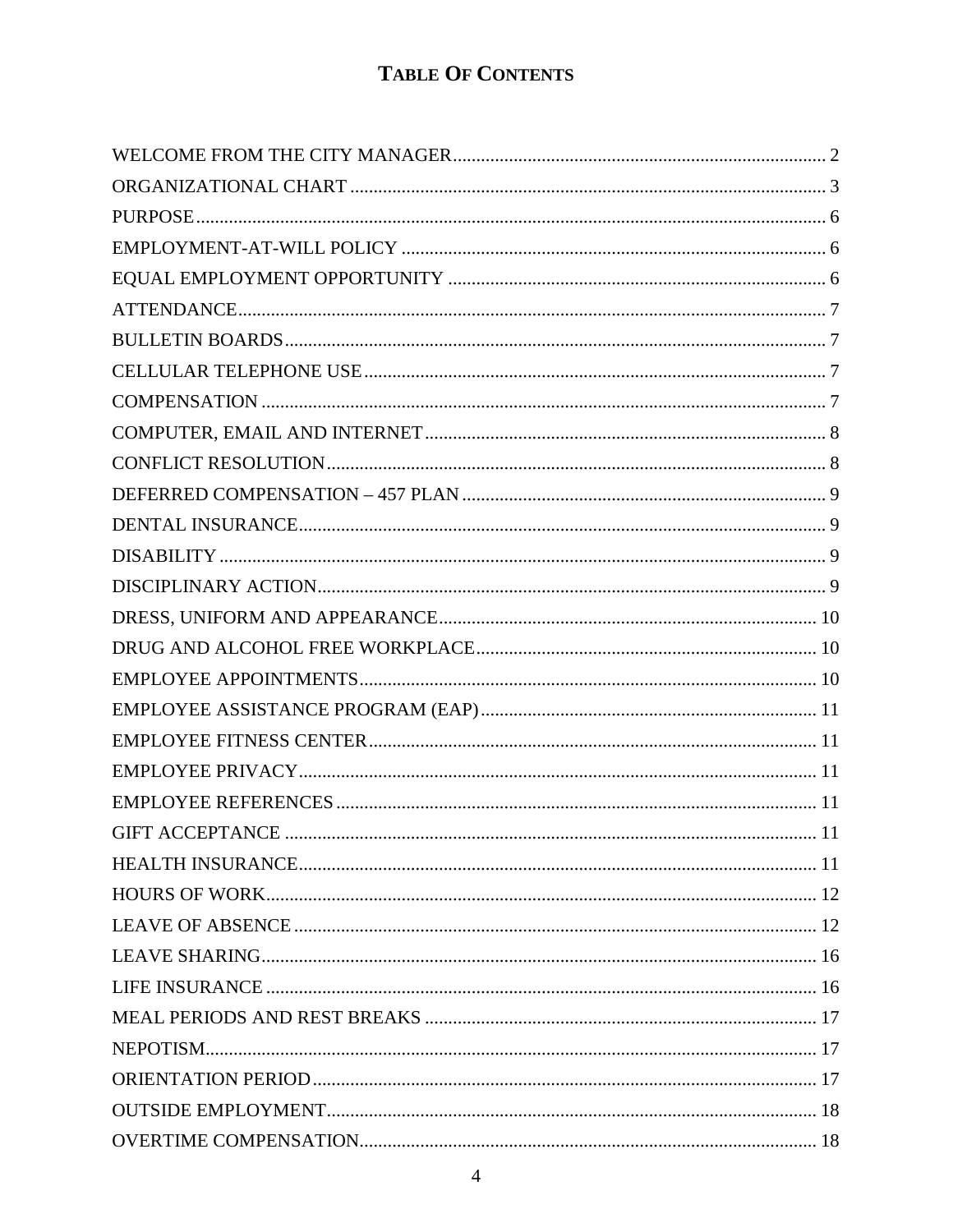# **TABLE OF CONTENTS**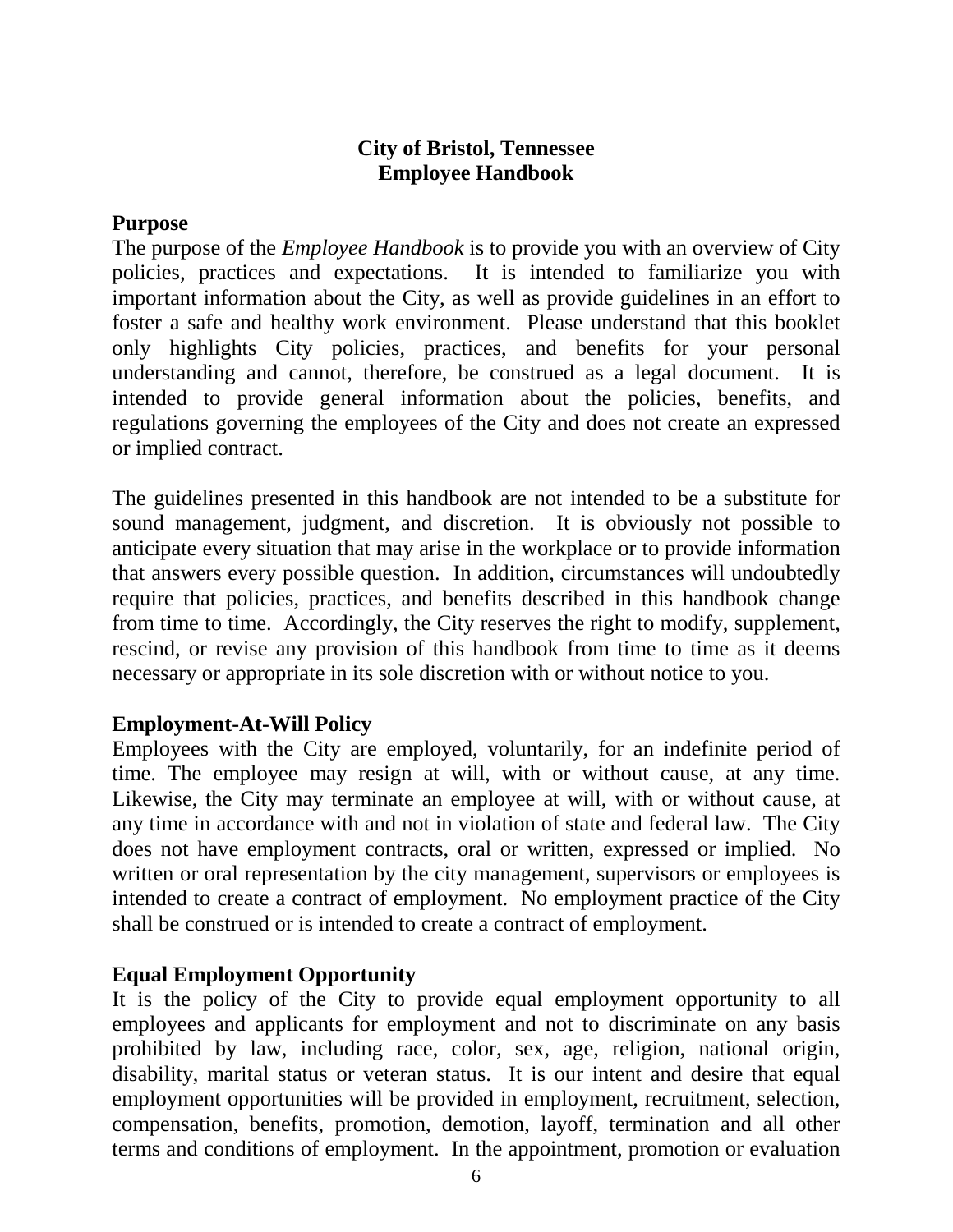# **City of Bristol, Tennessee Employee Handbook**

#### <span id="page-5-0"></span>**Purpose**

The purpose of the *Employee Handbook* is to provide you with an overview of City policies, practices and expectations. It is intended to familiarize you with important information about the City, as well as provide guidelines in an effort to foster a safe and healthy work environment. Please understand that this booklet only highlights City policies, practices, and benefits for your personal understanding and cannot, therefore, be construed as a legal document. It is intended to provide general information about the policies, benefits, and regulations governing the employees of the City and does not create an expressed or implied contract.

The guidelines presented in this handbook are not intended to be a substitute for sound management, judgment, and discretion. It is obviously not possible to anticipate every situation that may arise in the workplace or to provide information that answers every possible question. In addition, circumstances will undoubtedly require that policies, practices, and benefits described in this handbook change from time to time. Accordingly, the City reserves the right to modify, supplement, rescind, or revise any provision of this handbook from time to time as it deems necessary or appropriate in its sole discretion with or without notice to you.

#### <span id="page-5-1"></span>**Employment-At-Will Policy**

Employees with the City are employed, voluntarily, for an indefinite period of time. The employee may resign at will, with or without cause, at any time. Likewise, the City may terminate an employee at will, with or without cause, at any time in accordance with and not in violation of state and federal law. The City does not have employment contracts, oral or written, expressed or implied. No written or oral representation by the city management, supervisors or employees is intended to create a contract of employment. No employment practice of the City shall be construed or is intended to create a contract of employment.

#### <span id="page-5-2"></span>**Equal Employment Opportunity**

It is the policy of the City to provide equal employment opportunity to all employees and applicants for employment and not to discriminate on any basis prohibited by law, including race, color, sex, age, religion, national origin, disability, marital status or veteran status. It is our intent and desire that equal employment opportunities will be provided in employment, recruitment, selection, compensation, benefits, promotion, demotion, layoff, termination and all other terms and conditions of employment. In the appointment, promotion or evaluation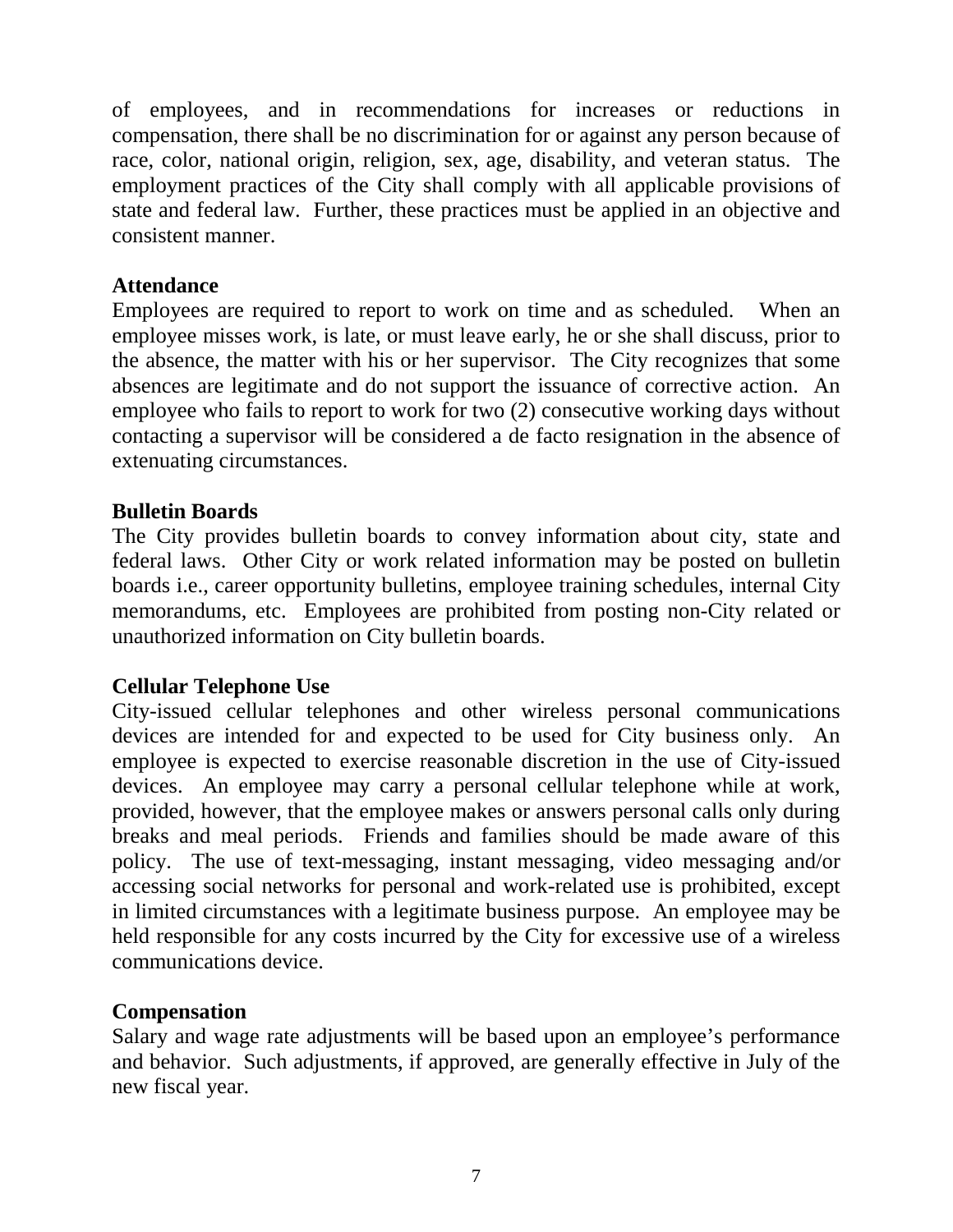of employees, and in recommendations for increases or reductions in compensation, there shall be no discrimination for or against any person because of race, color, national origin, religion, sex, age, disability, and veteran status. The employment practices of the City shall comply with all applicable provisions of state and federal law. Further, these practices must be applied in an objective and consistent manner.

# <span id="page-6-0"></span>**Attendance**

Employees are required to report to work on time and as scheduled. When an employee misses work, is late, or must leave early, he or she shall discuss, prior to the absence, the matter with his or her supervisor. The City recognizes that some absences are legitimate and do not support the issuance of corrective action. An employee who fails to report to work for two (2) consecutive working days without contacting a supervisor will be considered a de facto resignation in the absence of extenuating circumstances.

# <span id="page-6-1"></span>**Bulletin Boards**

The City provides bulletin boards to convey information about city, state and federal laws. Other City or work related information may be posted on bulletin boards i.e., career opportunity bulletins, employee training schedules, internal City memorandums, etc. Employees are prohibited from posting non-City related or unauthorized information on City bulletin boards.

#### <span id="page-6-2"></span>**Cellular Telephone Use**

City-issued cellular telephones and other wireless personal communications devices are intended for and expected to be used for City business only. An employee is expected to exercise reasonable discretion in the use of City-issued devices. An employee may carry a personal cellular telephone while at work, provided, however, that the employee makes or answers personal calls only during breaks and meal periods. Friends and families should be made aware of this policy. The use of text-messaging, instant messaging, video messaging and/or accessing social networks for personal and work-related use is prohibited, except in limited circumstances with a legitimate business purpose. An employee may be held responsible for any costs incurred by the City for excessive use of a wireless communications device.

#### <span id="page-6-3"></span>**Compensation**

<span id="page-6-4"></span>Salary and wage rate adjustments will be based upon an employee's performance and behavior. Such adjustments, if approved, are generally effective in July of the new fiscal year.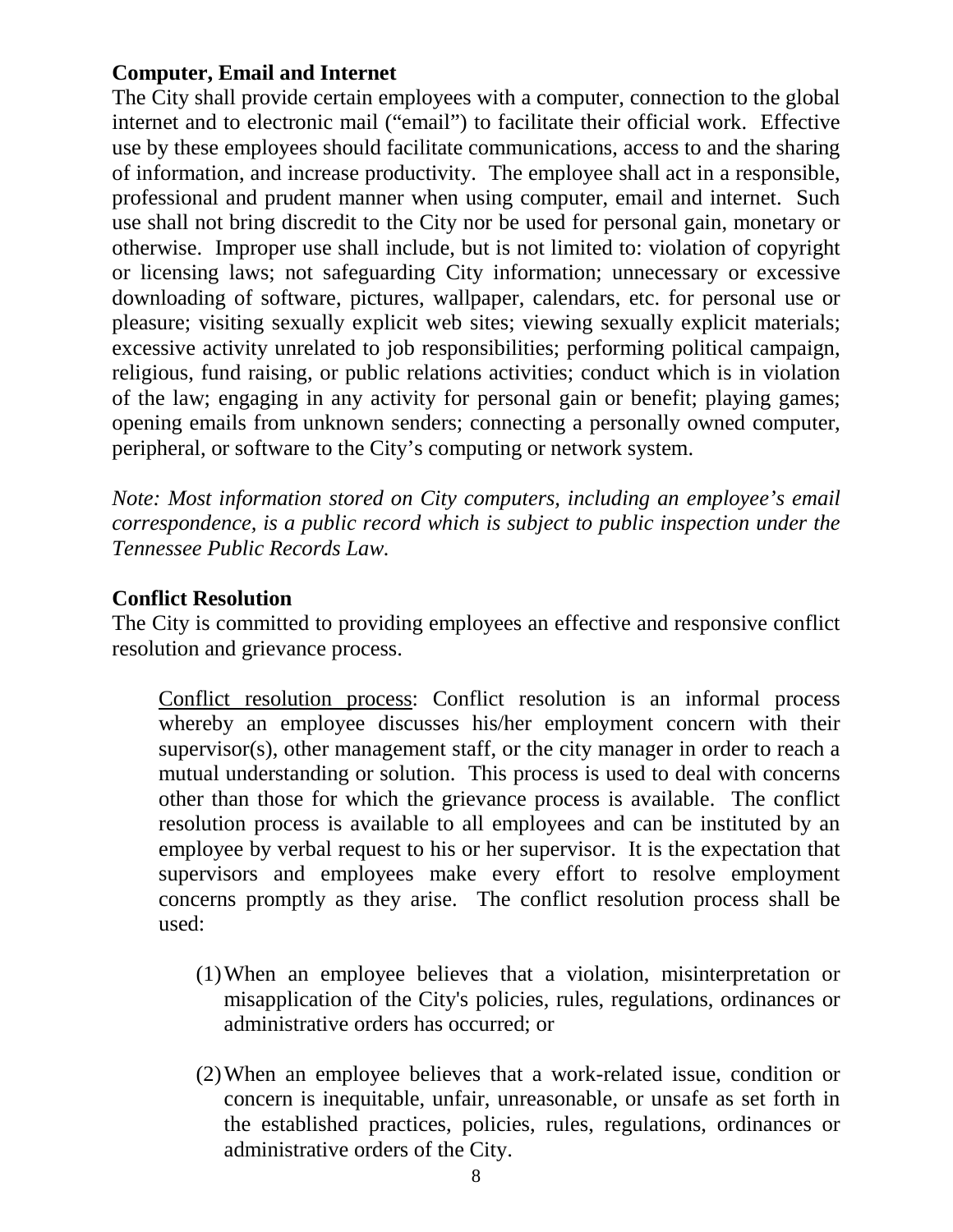# **Computer, Email and Internet**

The City shall provide certain employees with a computer, connection to the global internet and to electronic mail ("email") to facilitate their official work. Effective use by these employees should facilitate communications, access to and the sharing of information, and increase productivity. The employee shall act in a responsible, professional and prudent manner when using computer, email and internet. Such use shall not bring discredit to the City nor be used for personal gain, monetary or otherwise. Improper use shall include, but is not limited to: violation of copyright or licensing laws; not safeguarding City information; unnecessary or excessive downloading of software, pictures, wallpaper, calendars, etc. for personal use or pleasure; visiting sexually explicit web sites; viewing sexually explicit materials; excessive activity unrelated to job responsibilities; performing political campaign, religious, fund raising, or public relations activities; conduct which is in violation of the law; engaging in any activity for personal gain or benefit; playing games; opening emails from unknown senders; connecting a personally owned computer, peripheral, or software to the City's computing or network system.

*Note: Most information stored on City computers, including an employee's email correspondence, is a public record which is subject to public inspection under the Tennessee Public Records Law.* 

# <span id="page-7-0"></span>**Conflict Resolution**

The City is committed to providing employees an effective and responsive conflict resolution and grievance process.

Conflict resolution process: Conflict resolution is an informal process whereby an employee discusses his/her employment concern with their supervisor(s), other management staff, or the city manager in order to reach a mutual understanding or solution. This process is used to deal with concerns other than those for which the grievance process is available. The conflict resolution process is available to all employees and can be instituted by an employee by verbal request to his or her supervisor. It is the expectation that supervisors and employees make every effort to resolve employment concerns promptly as they arise. The conflict resolution process shall be used:

- (1)When an employee believes that a violation, misinterpretation or misapplication of the City's policies, rules, regulations, ordinances or administrative orders has occurred; or
- (2)When an employee believes that a work-related issue, condition or concern is inequitable, unfair, unreasonable, or unsafe as set forth in the established practices, policies, rules, regulations, ordinances or administrative orders of the City.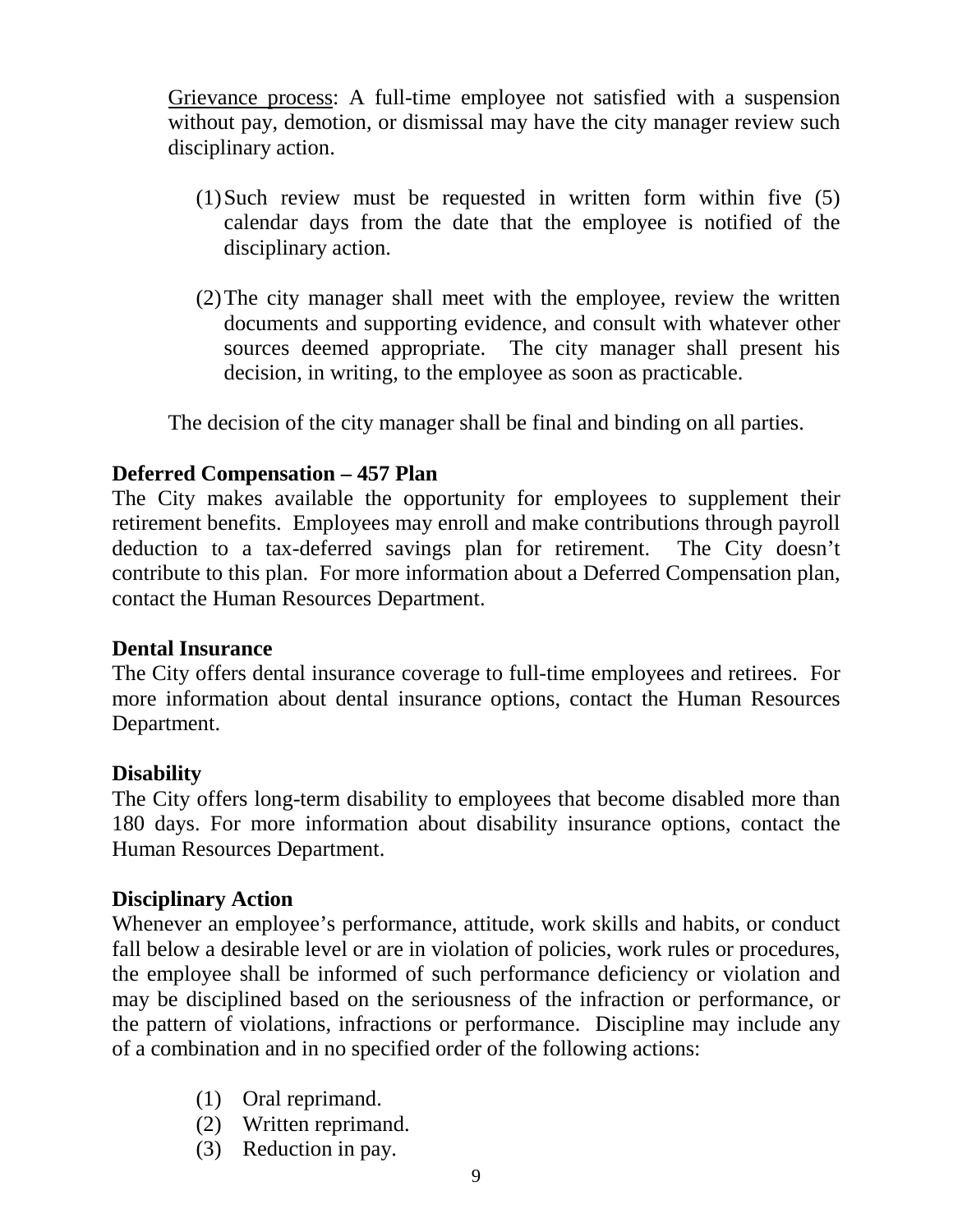Grievance process: A full-time employee not satisfied with a suspension without pay, demotion, or dismissal may have the city manager review such disciplinary action.

- (1)Such review must be requested in written form within five (5) calendar days from the date that the employee is notified of the disciplinary action.
- (2)The city manager shall meet with the employee, review the written documents and supporting evidence, and consult with whatever other sources deemed appropriate. The city manager shall present his decision, in writing, to the employee as soon as practicable.

The decision of the city manager shall be final and binding on all parties.

# <span id="page-8-0"></span>**Deferred Compensation – 457 Plan**

The City makes available the opportunity for employees to supplement their retirement benefits. Employees may enroll and make contributions through payroll deduction to a tax-deferred savings plan for retirement. The City doesn't contribute to this plan. For more information about a Deferred Compensation plan, contact the Human Resources Department.

#### <span id="page-8-1"></span>**Dental Insurance**

The City offers dental insurance coverage to full-time employees and retirees. For more information about dental insurance options, contact the Human Resources Department.

#### <span id="page-8-2"></span>**Disability**

The City offers long-term disability to employees that become disabled more than 180 days. For more information about disability insurance options, contact the Human Resources Department.

#### <span id="page-8-3"></span>**Disciplinary Action**

Whenever an employee's performance, attitude, work skills and habits, or conduct fall below a desirable level or are in violation of policies, work rules or procedures, the employee shall be informed of such performance deficiency or violation and may be disciplined based on the seriousness of the infraction or performance, or the pattern of violations, infractions or performance. Discipline may include any of a combination and in no specified order of the following actions:

- (1) Oral reprimand.
- (2) Written reprimand.
- (3) Reduction in pay.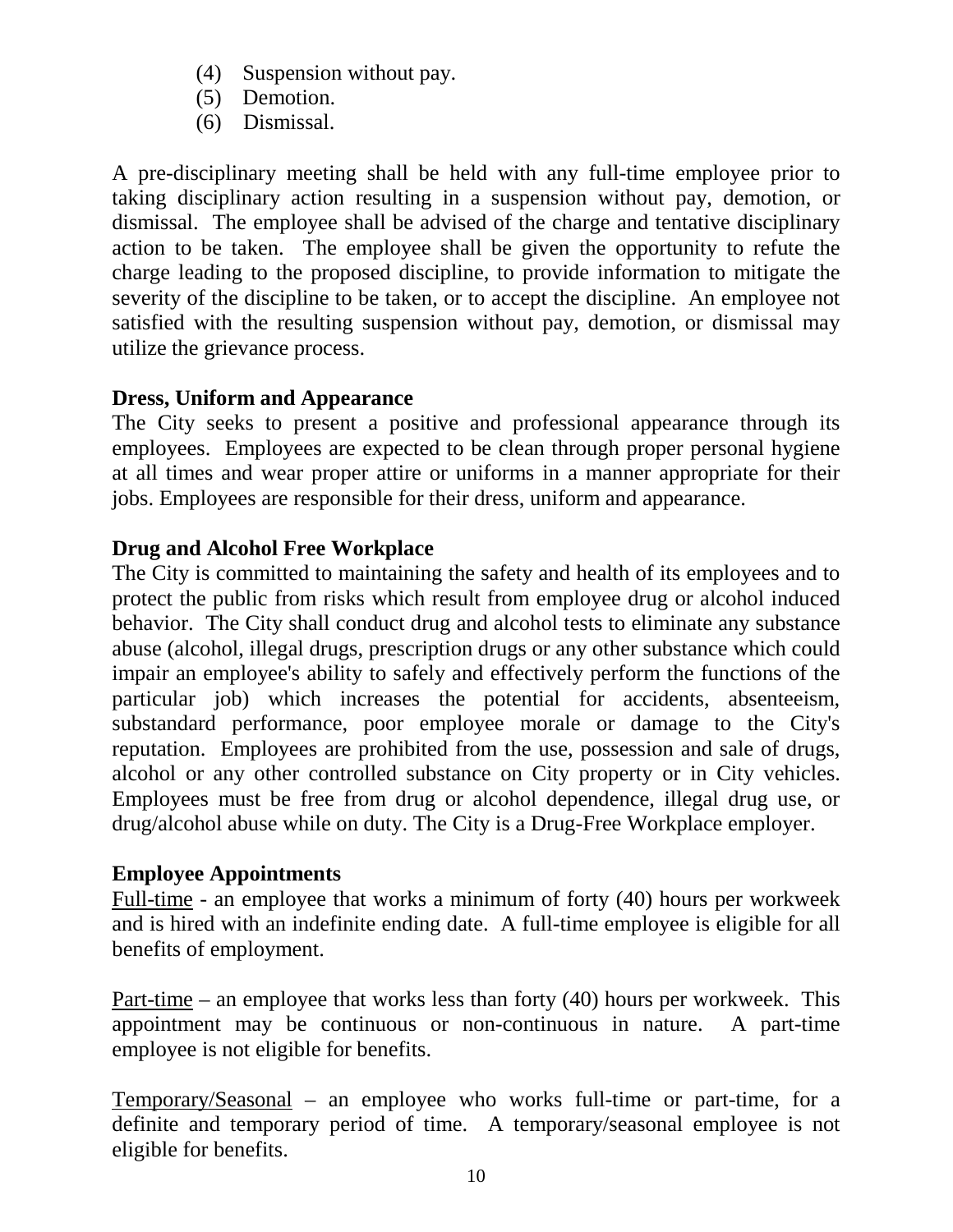- (4) Suspension without pay.
- (5) Demotion.
- (6) Dismissal.

A pre-disciplinary meeting shall be held with any full-time employee prior to taking disciplinary action resulting in a suspension without pay, demotion, or dismissal. The employee shall be advised of the charge and tentative disciplinary action to be taken. The employee shall be given the opportunity to refute the charge leading to the proposed discipline, to provide information to mitigate the severity of the discipline to be taken, or to accept the discipline. An employee not satisfied with the resulting suspension without pay, demotion, or dismissal may utilize the grievance process.

# <span id="page-9-0"></span>**Dress, Uniform and Appearance**

The City seeks to present a positive and professional appearance through its employees. Employees are expected to be clean through proper personal hygiene at all times and wear proper attire or uniforms in a manner appropriate for their jobs. Employees are responsible for their dress, uniform and appearance.

# <span id="page-9-1"></span>**Drug and Alcohol Free Workplace**

The City is committed to maintaining the safety and health of its employees and to protect the public from risks which result from employee drug or alcohol induced behavior. The City shall conduct drug and alcohol tests to eliminate any substance abuse (alcohol, illegal drugs, prescription drugs or any other substance which could impair an employee's ability to safely and effectively perform the functions of the particular job) which increases the potential for accidents, absenteeism, substandard performance, poor employee morale or damage to the City's reputation. Employees are prohibited from the use, possession and sale of drugs, alcohol or any other controlled substance on City property or in City vehicles. Employees must be free from drug or alcohol dependence, illegal drug use, or drug/alcohol abuse while on duty. The City is a Drug-Free Workplace employer.

# <span id="page-9-2"></span>**Employee Appointments**

Full-time - an employee that works a minimum of forty (40) hours per workweek and is hired with an indefinite ending date. A full-time employee is eligible for all benefits of employment.

Part-time – an employee that works less than forty  $(40)$  hours per workweek. This appointment may be continuous or non-continuous in nature. A part-time employee is not eligible for benefits.

Temporary/Seasonal – an employee who works full-time or part-time, for a definite and temporary period of time. A temporary/seasonal employee is not eligible for benefits.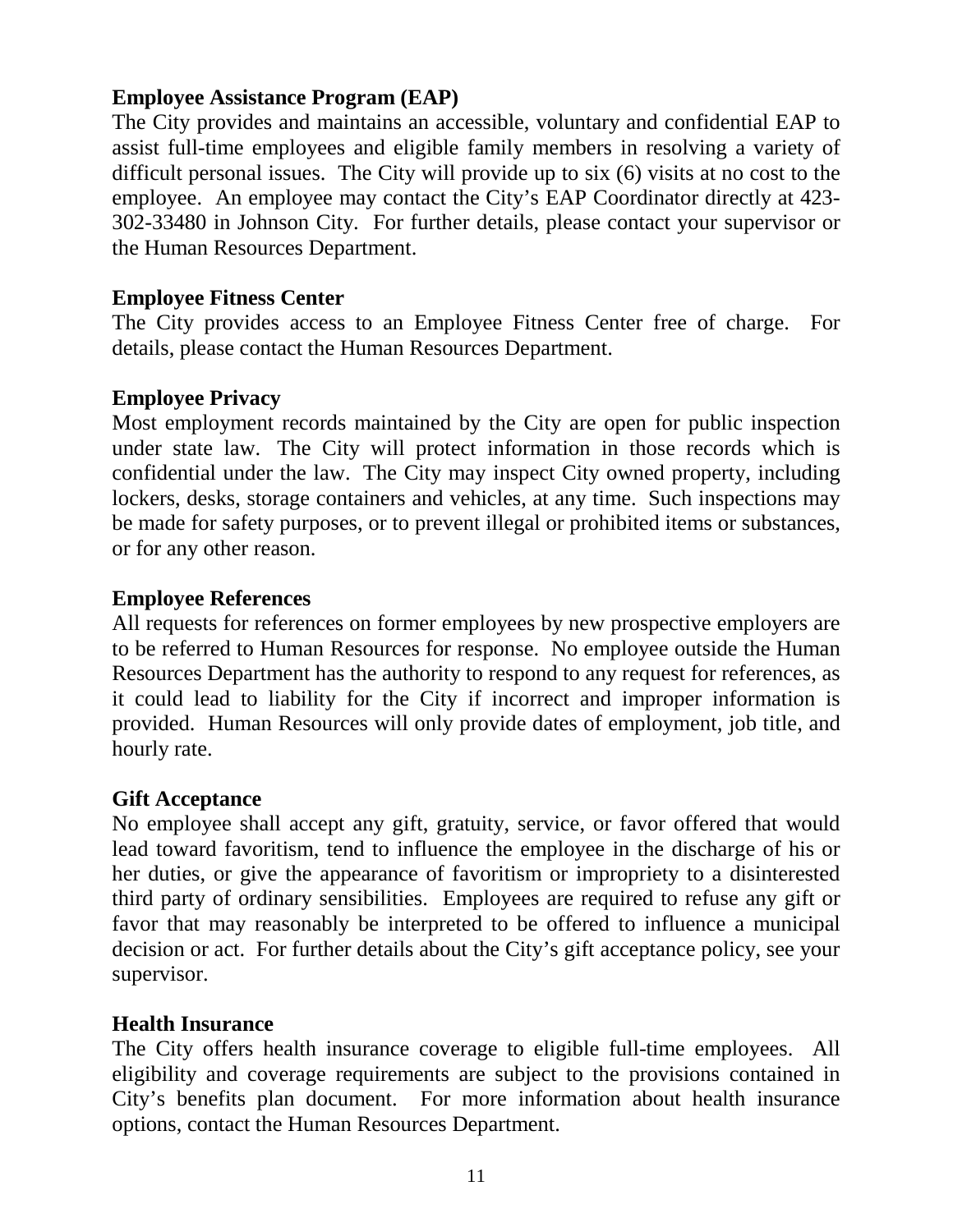## <span id="page-10-0"></span>**Employee Assistance Program (EAP)**

The City provides and maintains an accessible, voluntary and confidential EAP to assist full-time employees and eligible family members in resolving a variety of difficult personal issues. The City will provide up to six (6) visits at no cost to the employee. An employee may contact the City's EAP Coordinator directly at 423- 302-33480 in Johnson City. For further details, please contact your supervisor or the Human Resources Department.

# **Employee Fitness Center**

The City provides access to an Employee Fitness Center free of charge. For details, please contact the Human Resources Department.

# <span id="page-10-1"></span>**Employee Privacy**

Most employment records maintained by the City are open for public inspection under state law. The City will protect information in those records which is confidential under the law. The City may inspect City owned property, including lockers, desks, storage containers and vehicles, at any time. Such inspections may be made for safety purposes, or to prevent illegal or prohibited items or substances, or for any other reason.

#### <span id="page-10-2"></span>**Employee References**

All requests for references on former employees by new prospective employers are to be referred to Human Resources for response. No employee outside the Human Resources Department has the authority to respond to any request for references, as it could lead to liability for the City if incorrect and improper information is provided. Human Resources will only provide dates of employment, job title, and hourly rate.

#### <span id="page-10-3"></span>**Gift Acceptance**

No employee shall accept any gift, gratuity, service, or favor offered that would lead toward favoritism, tend to influence the employee in the discharge of his or her duties, or give the appearance of favoritism or impropriety to a disinterested third party of ordinary sensibilities. Employees are required to refuse any gift or favor that may reasonably be interpreted to be offered to influence a municipal decision or act. For further details about the City's gift acceptance policy, see your supervisor.

#### <span id="page-10-4"></span>**Health Insurance**

The City offers health insurance coverage to eligible full-time employees. All eligibility and coverage requirements are subject to the provisions contained in City's benefits plan document. For more information about health insurance options, contact the Human Resources Department.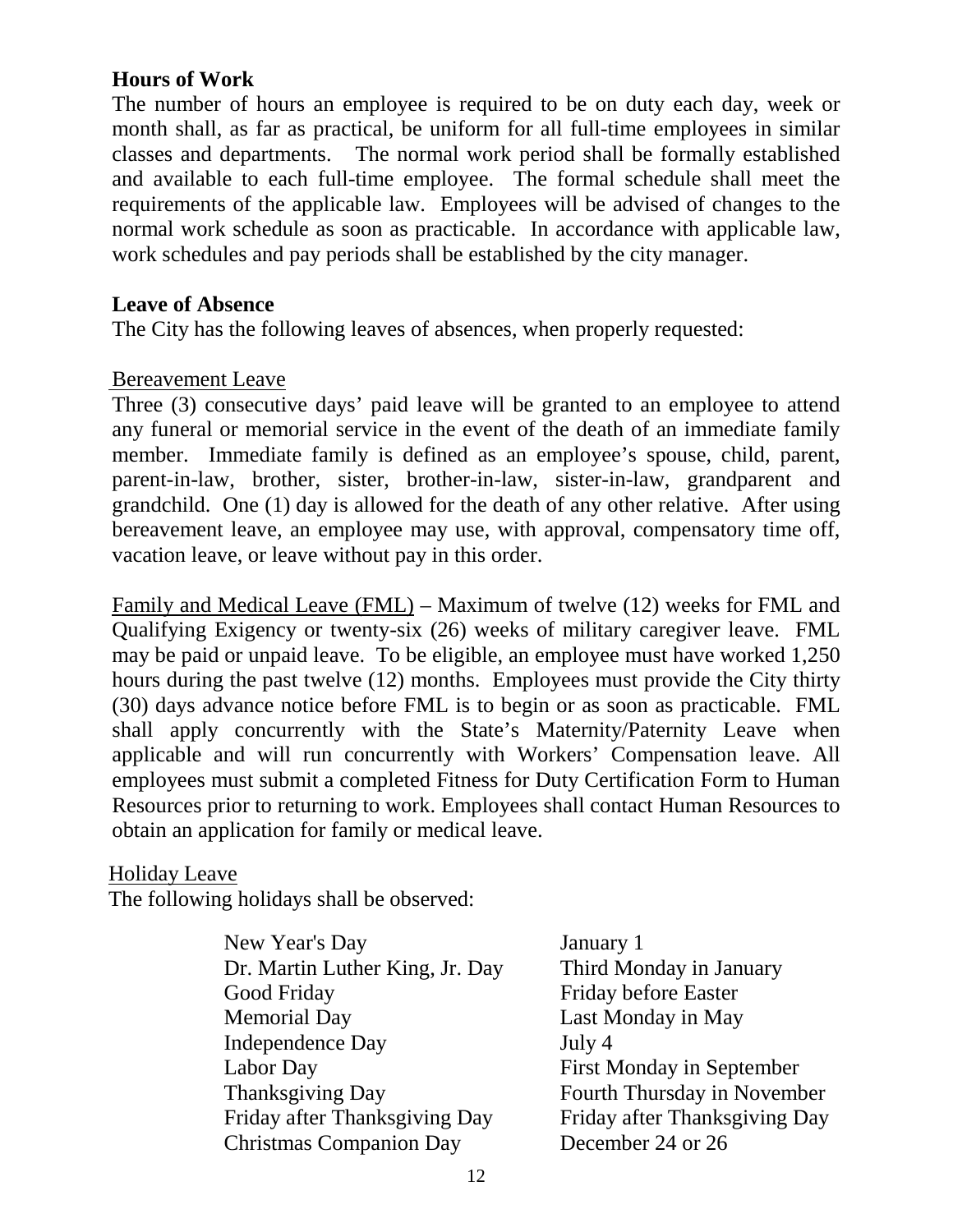# <span id="page-11-0"></span>**Hours of Work**

The number of hours an employee is required to be on duty each day, week or month shall, as far as practical, be uniform for all full-time employees in similar classes and departments. The normal work period shall be formally established and available to each full-time employee. The formal schedule shall meet the requirements of the applicable law. Employees will be advised of changes to the normal work schedule as soon as practicable. In accordance with applicable law, work schedules and pay periods shall be established by the city manager.

#### <span id="page-11-1"></span>**Leave of Absence**

The City has the following leaves of absences, when properly requested:

#### Bereavement Leave

Three (3) consecutive days' paid leave will be granted to an employee to attend any funeral or memorial service in the event of the death of an immediate family member. Immediate family is defined as an employee's spouse, child, parent, parent-in-law, brother, sister, brother-in-law, sister-in-law, grandparent and grandchild. One (1) day is allowed for the death of any other relative. After using bereavement leave, an employee may use, with approval, compensatory time off, vacation leave, or leave without pay in this order.

Family and Medical Leave (FML) – Maximum of twelve (12) weeks for FML and Qualifying Exigency or twenty-six (26) weeks of military caregiver leave. FML may be paid or unpaid leave. To be eligible, an employee must have worked 1,250 hours during the past twelve (12) months. Employees must provide the City thirty (30) days advance notice before FML is to begin or as soon as practicable. FML shall apply concurrently with the State's Maternity/Paternity Leave when applicable and will run concurrently with Workers' Compensation leave. All employees must submit a completed Fitness for Duty Certification Form to Human Resources prior to returning to work. Employees shall contact Human Resources to obtain an application for family or medical leave.

#### Holiday Leave

The following holidays shall be observed:

| New Year's Day                  | January 1                        |
|---------------------------------|----------------------------------|
| Dr. Martin Luther King, Jr. Day | Third Monday in January          |
| Good Friday                     | Friday before Easter             |
| <b>Memorial Day</b>             | Last Monday in May               |
| <b>Independence Day</b>         | July 4                           |
| Labor Day                       | <b>First Monday in September</b> |
| <b>Thanksgiving Day</b>         | Fourth Thursday in November      |
| Friday after Thanksgiving Day   | Friday after Thanksgiving Day    |
| <b>Christmas Companion Day</b>  | December 24 or 26                |
|                                 |                                  |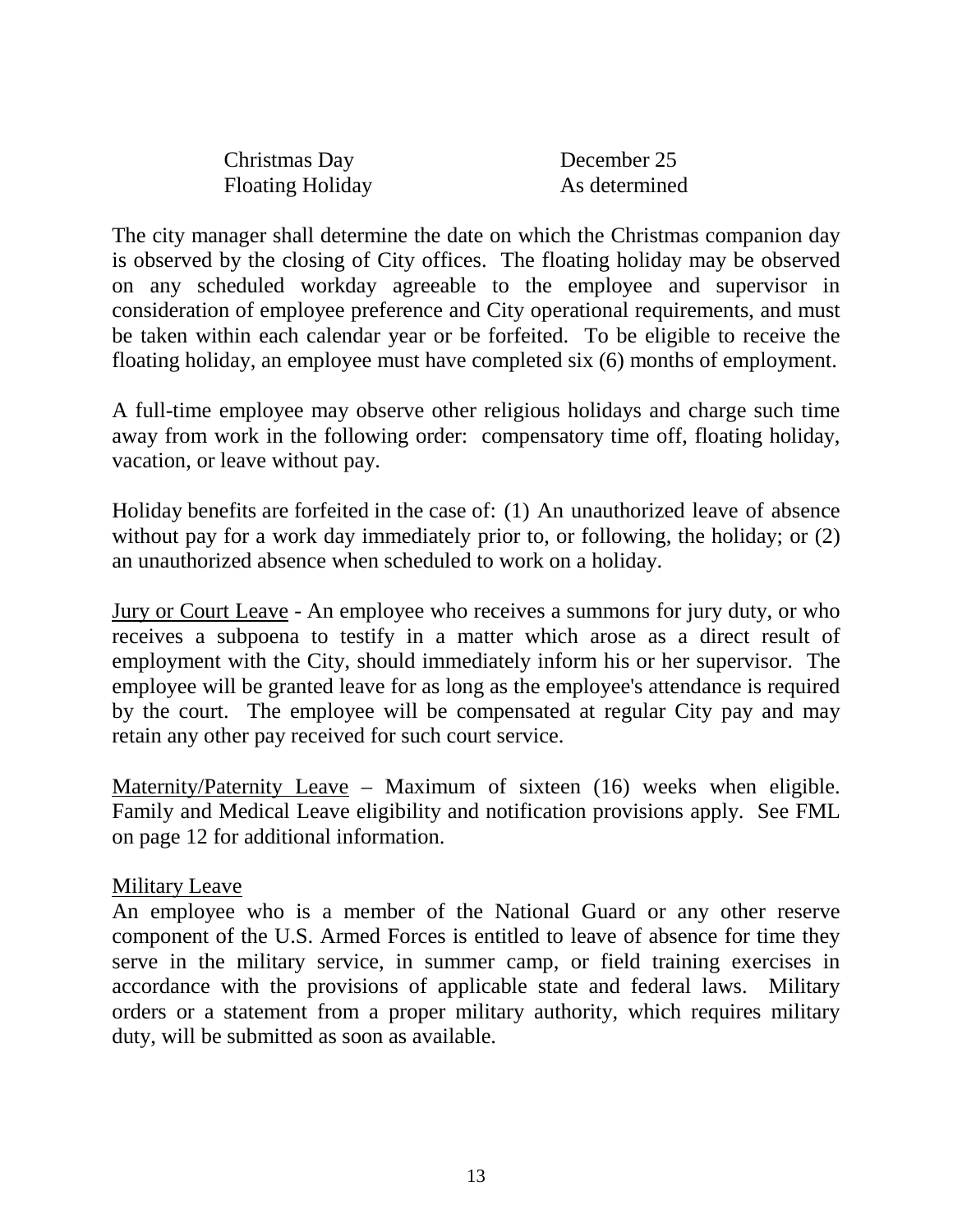| Christmas Day           | December 25   |
|-------------------------|---------------|
| <b>Floating Holiday</b> | As determined |

The city manager shall determine the date on which the Christmas companion day is observed by the closing of City offices. The floating holiday may be observed on any scheduled workday agreeable to the employee and supervisor in consideration of employee preference and City operational requirements, and must be taken within each calendar year or be forfeited. To be eligible to receive the floating holiday, an employee must have completed six (6) months of employment.

A full-time employee may observe other religious holidays and charge such time away from work in the following order: compensatory time off, floating holiday, vacation, or leave without pay.

Holiday benefits are forfeited in the case of: (1) An unauthorized leave of absence without pay for a work day immediately prior to, or following, the holiday; or  $(2)$ an unauthorized absence when scheduled to work on a holiday.

Jury or Court Leave - An employee who receives a summons for jury duty, or who receives a subpoena to testify in a matter which arose as a direct result of employment with the City, should immediately inform his or her supervisor. The employee will be granted leave for as long as the employee's attendance is required by the court. The employee will be compensated at regular City pay and may retain any other pay received for such court service.

Maternity/Paternity Leave – Maximum of sixteen (16) weeks when eligible. Family and Medical Leave eligibility and notification provisions apply. See FML on page 12 for additional information.

#### Military Leave

An employee who is a member of the National Guard or any other reserve component of the U.S. Armed Forces is entitled to leave of absence for time they serve in the military service, in summer camp, or field training exercises in accordance with the provisions of applicable state and federal laws. Military orders or a statement from a proper military authority, which requires military duty, will be submitted as soon as available.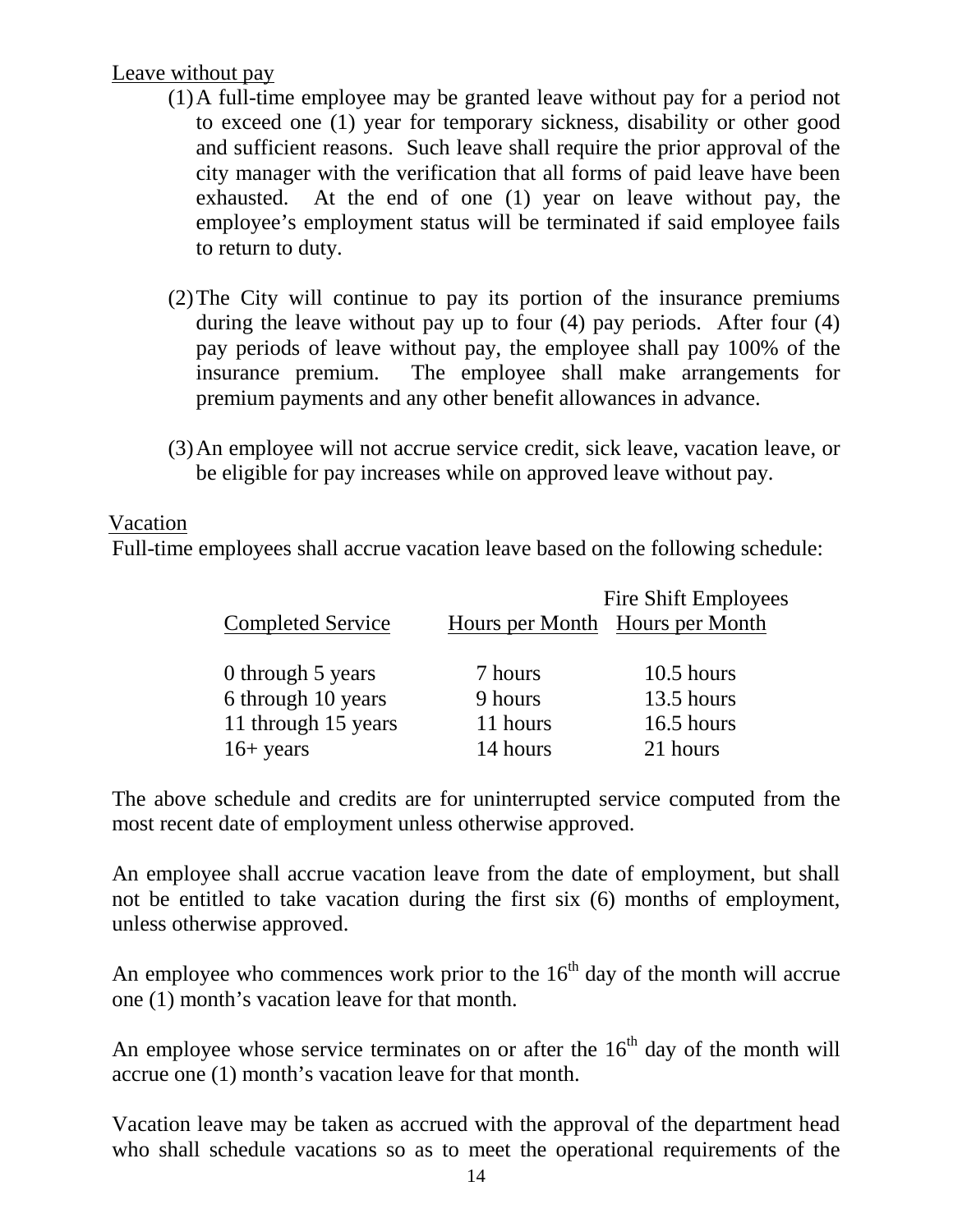# Leave without pay

- (1)A full-time employee may be granted leave without pay for a period not to exceed one (1) year for temporary sickness, disability or other good and sufficient reasons. Such leave shall require the prior approval of the city manager with the verification that all forms of paid leave have been exhausted. At the end of one (1) year on leave without pay, the employee's employment status will be terminated if said employee fails to return to duty.
- (2)The City will continue to pay its portion of the insurance premiums during the leave without pay up to four (4) pay periods. After four (4) pay periods of leave without pay, the employee shall pay 100% of the insurance premium. The employee shall make arrangements for premium payments and any other benefit allowances in advance.
- (3)An employee will not accrue service credit, sick leave, vacation leave, or be eligible for pay increases while on approved leave without pay.

#### Vacation

Full-time employees shall accrue vacation leave based on the following schedule:

|                          |          | Fire Shift Employees            |
|--------------------------|----------|---------------------------------|
| <b>Completed Service</b> |          | Hours per Month Hours per Month |
|                          |          |                                 |
| 0 through 5 years        | 7 hours  | $10.5$ hours                    |
| 6 through 10 years       | 9 hours  | 13.5 hours                      |
| 11 through 15 years      | 11 hours | 16.5 hours                      |
| $16+$ years              | 14 hours | 21 hours                        |

The above schedule and credits are for uninterrupted service computed from the most recent date of employment unless otherwise approved.

An employee shall accrue vacation leave from the date of employment, but shall not be entitled to take vacation during the first six (6) months of employment, unless otherwise approved.

An employee who commences work prior to the  $16<sup>th</sup>$  day of the month will accrue one (1) month's vacation leave for that month.

An employee whose service terminates on or after the  $16<sup>th</sup>$  day of the month will accrue one (1) month's vacation leave for that month.

Vacation leave may be taken as accrued with the approval of the department head who shall schedule vacations so as to meet the operational requirements of the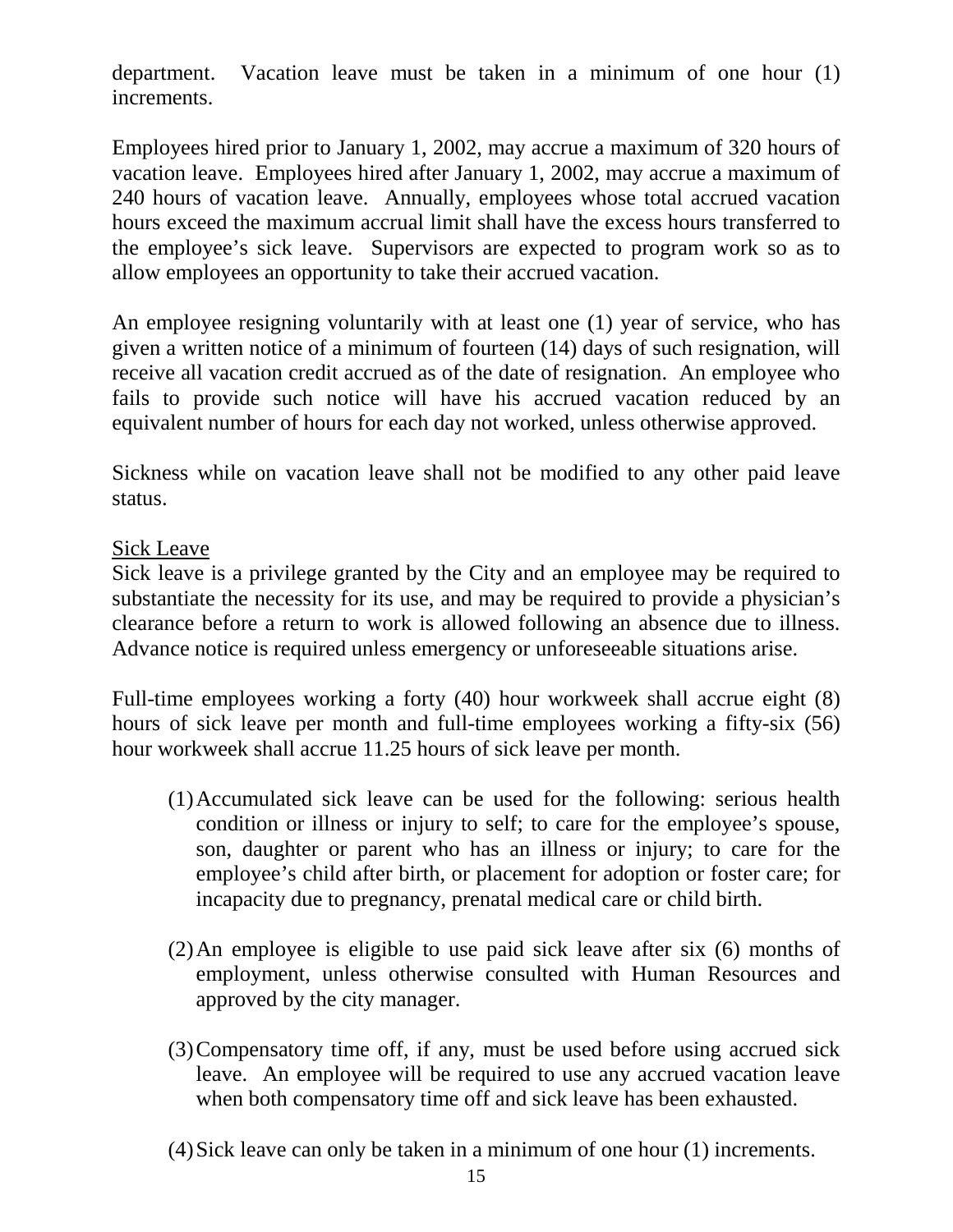department. Vacation leave must be taken in a minimum of one hour (1) increments.

Employees hired prior to January 1, 2002, may accrue a maximum of 320 hours of vacation leave. Employees hired after January 1, 2002, may accrue a maximum of 240 hours of vacation leave. Annually, employees whose total accrued vacation hours exceed the maximum accrual limit shall have the excess hours transferred to the employee's sick leave. Supervisors are expected to program work so as to allow employees an opportunity to take their accrued vacation.

An employee resigning voluntarily with at least one (1) year of service, who has given a written notice of a minimum of fourteen (14) days of such resignation, will receive all vacation credit accrued as of the date of resignation. An employee who fails to provide such notice will have his accrued vacation reduced by an equivalent number of hours for each day not worked, unless otherwise approved.

Sickness while on vacation leave shall not be modified to any other paid leave status.

#### Sick Leave

Sick leave is a privilege granted by the City and an employee may be required to substantiate the necessity for its use, and may be required to provide a physician's clearance before a return to work is allowed following an absence due to illness. Advance notice is required unless emergency or unforeseeable situations arise.

Full-time employees working a forty (40) hour workweek shall accrue eight (8) hours of sick leave per month and full-time employees working a fifty-six (56) hour workweek shall accrue 11.25 hours of sick leave per month.

- (1)Accumulated sick leave can be used for the following: serious health condition or illness or injury to self; to care for the employee's spouse, son, daughter or parent who has an illness or injury; to care for the employee's child after birth, or placement for adoption or foster care; for incapacity due to pregnancy, prenatal medical care or child birth.
- (2)An employee is eligible to use paid sick leave after six (6) months of employment, unless otherwise consulted with Human Resources and approved by the city manager.
- (3)Compensatory time off, if any, must be used before using accrued sick leave. An employee will be required to use any accrued vacation leave when both compensatory time off and sick leave has been exhausted.
- (4)Sick leave can only be taken in a minimum of one hour (1) increments.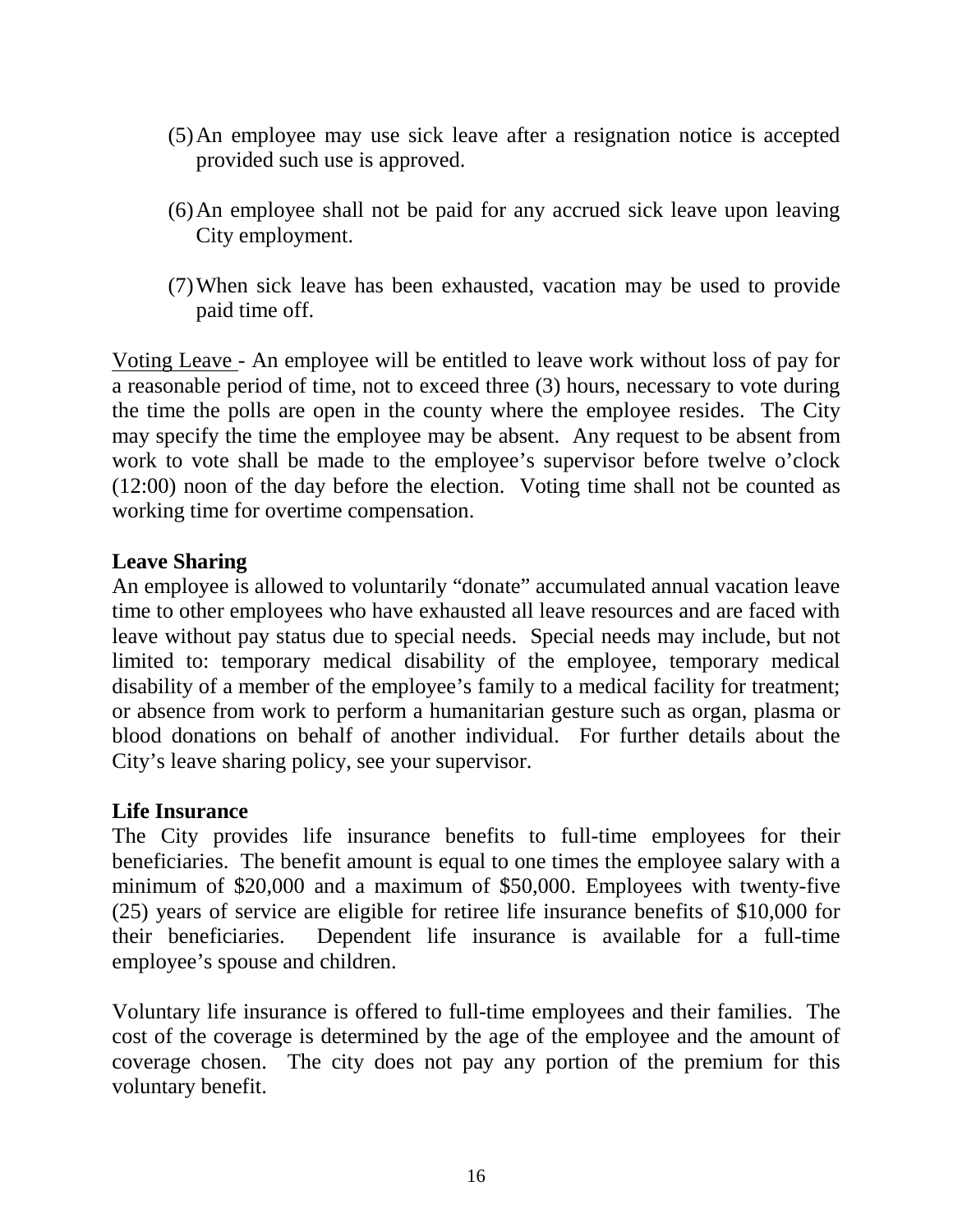- (5)An employee may use sick leave after a resignation notice is accepted provided such use is approved.
- (6)An employee shall not be paid for any accrued sick leave upon leaving City employment.
- (7)When sick leave has been exhausted, vacation may be used to provide paid time off.

Voting Leave - An employee will be entitled to leave work without loss of pay for a reasonable period of time, not to exceed three (3) hours, necessary to vote during the time the polls are open in the county where the employee resides. The City may specify the time the employee may be absent. Any request to be absent from work to vote shall be made to the employee's supervisor before twelve o'clock (12:00) noon of the day before the election. Voting time shall not be counted as working time for overtime compensation.

#### <span id="page-15-1"></span>**Leave Sharing**

An employee is allowed to voluntarily "donate" accumulated annual vacation leave time to other employees who have exhausted all leave resources and are faced with leave without pay status due to special needs. Special needs may include, but not limited to: temporary medical disability of the employee, temporary medical disability of a member of the employee's family to a medical facility for treatment; or absence from work to perform a humanitarian gesture such as organ, plasma or blood donations on behalf of another individual. For further details about the City's leave sharing policy, see your supervisor.

#### <span id="page-15-0"></span>**Life Insurance**

The City provides life insurance benefits to full-time employees for their beneficiaries. The benefit amount is equal to one times the employee salary with a minimum of \$20,000 and a maximum of \$50,000. Employees with twenty-five (25) years of service are eligible for retiree life insurance benefits of \$10,000 for their beneficiaries. Dependent life insurance is available for a full-time employee's spouse and children.

<span id="page-15-2"></span>Voluntary life insurance is offered to full-time employees and their families. The cost of the coverage is determined by the age of the employee and the amount of coverage chosen. The city does not pay any portion of the premium for this voluntary benefit.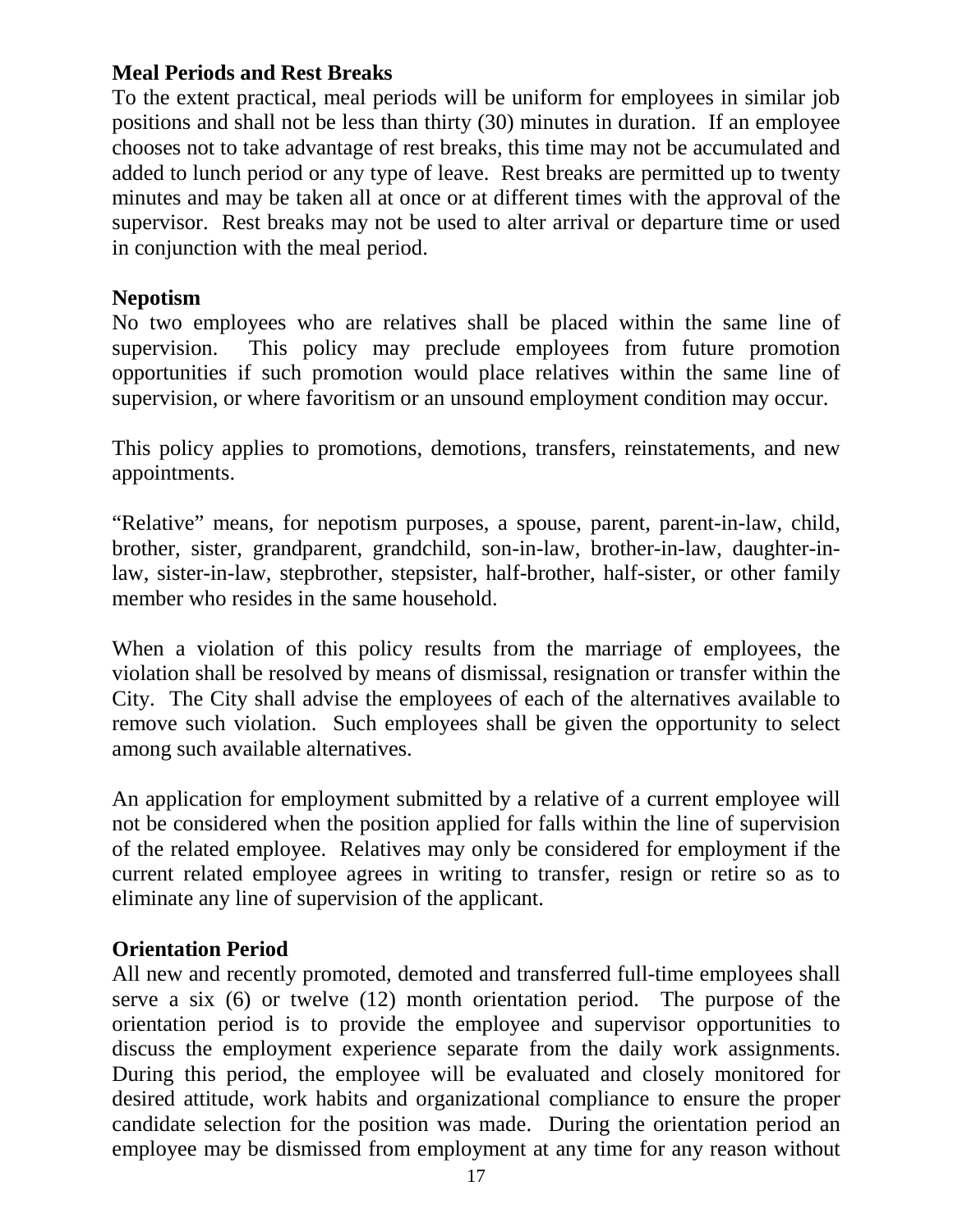# **Meal Periods and Rest Breaks**

To the extent practical, meal periods will be uniform for employees in similar job positions and shall not be less than thirty (30) minutes in duration. If an employee chooses not to take advantage of rest breaks, this time may not be accumulated and added to lunch period or any type of leave. Rest breaks are permitted up to twenty minutes and may be taken all at once or at different times with the approval of the supervisor. Rest breaks may not be used to alter arrival or departure time or used in conjunction with the meal period.

## <span id="page-16-0"></span>**Nepotism**

No two employees who are relatives shall be placed within the same line of supervision. This policy may preclude employees from future promotion opportunities if such promotion would place relatives within the same line of supervision, or where favoritism or an unsound employment condition may occur.

This policy applies to promotions, demotions, transfers, reinstatements, and new appointments.

"Relative" means, for nepotism purposes, a spouse, parent, parent-in-law, child, brother, sister, grandparent, grandchild, son-in-law, brother-in-law, daughter-inlaw, sister-in-law, stepbrother, stepsister, half-brother, half-sister, or other family member who resides in the same household.

When a violation of this policy results from the marriage of employees, the violation shall be resolved by means of dismissal, resignation or transfer within the City. The City shall advise the employees of each of the alternatives available to remove such violation. Such employees shall be given the opportunity to select among such available alternatives.

An application for employment submitted by a relative of a current employee will not be considered when the position applied for falls within the line of supervision of the related employee. Relatives may only be considered for employment if the current related employee agrees in writing to transfer, resign or retire so as to eliminate any line of supervision of the applicant.

# <span id="page-16-1"></span>**Orientation Period**

All new and recently promoted, demoted and transferred full-time employees shall serve a six (6) or twelve (12) month orientation period. The purpose of the orientation period is to provide the employee and supervisor opportunities to discuss the employment experience separate from the daily work assignments. During this period, the employee will be evaluated and closely monitored for desired attitude, work habits and organizational compliance to ensure the proper candidate selection for the position was made. During the orientation period an employee may be dismissed from employment at any time for any reason without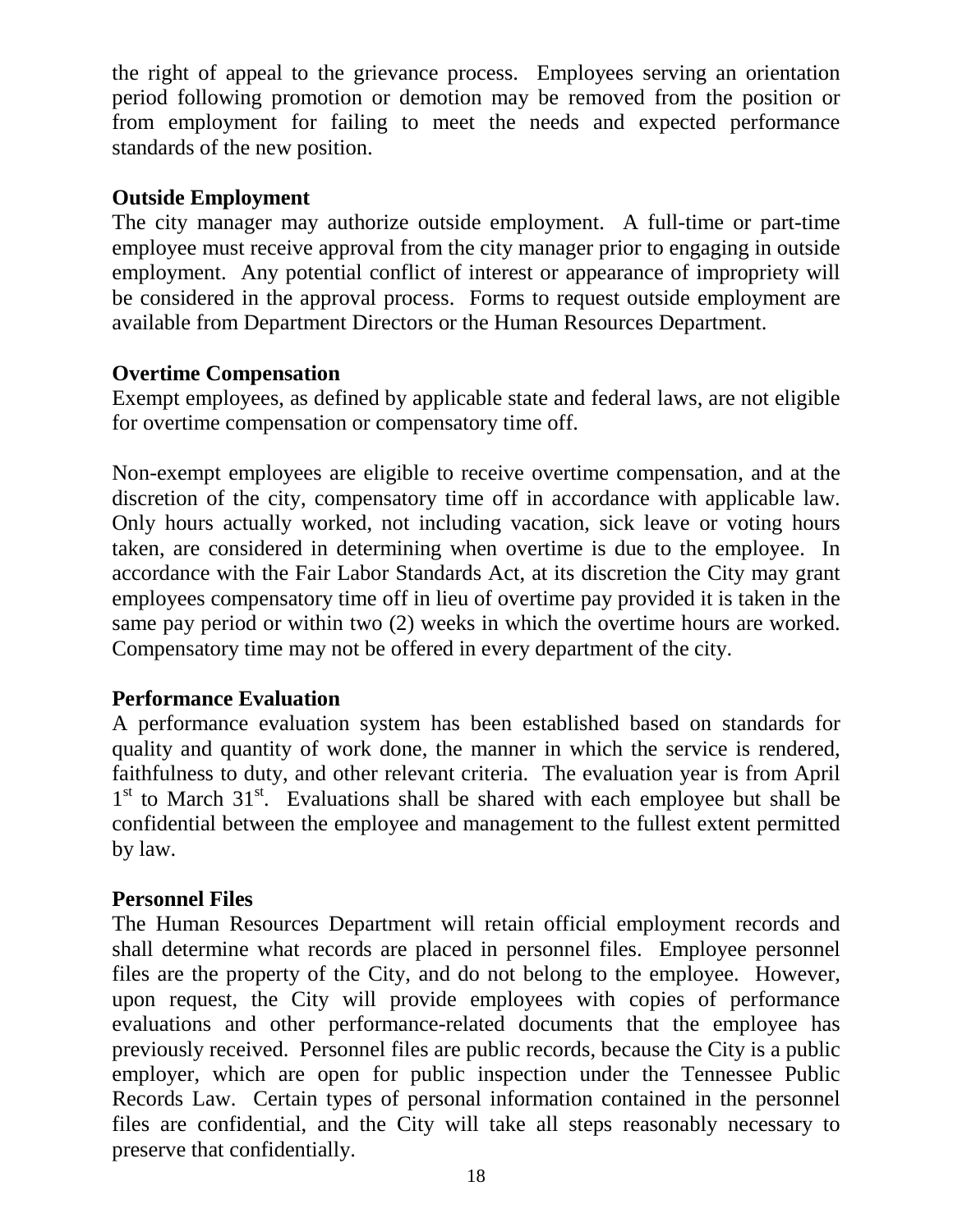the right of appeal to the grievance process. Employees serving an orientation period following promotion or demotion may be removed from the position or from employment for failing to meet the needs and expected performance standards of the new position.

# <span id="page-17-0"></span>**Outside Employment**

The city manager may authorize outside employment. A full-time or part-time employee must receive approval from the city manager prior to engaging in outside employment. Any potential conflict of interest or appearance of impropriety will be considered in the approval process. Forms to request outside employment are available from Department Directors or the Human Resources Department.

# <span id="page-17-1"></span>**Overtime Compensation**

Exempt employees, as defined by applicable state and federal laws, are not eligible for overtime compensation or compensatory time off.

Non-exempt employees are eligible to receive overtime compensation, and at the discretion of the city, compensatory time off in accordance with applicable law. Only hours actually worked, not including vacation, sick leave or voting hours taken, are considered in determining when overtime is due to the employee. In accordance with the Fair Labor Standards Act, at its discretion the City may grant employees compensatory time off in lieu of overtime pay provided it is taken in the same pay period or within two (2) weeks in which the overtime hours are worked. Compensatory time may not be offered in every department of the city.

#### <span id="page-17-2"></span>**Performance Evaluation**

A performance evaluation system has been established based on standards for quality and quantity of work done, the manner in which the service is rendered, faithfulness to duty, and other relevant criteria. The evaluation year is from April 1<sup>st</sup> to March 31<sup>st</sup>. Evaluations shall be shared with each employee but shall be confidential between the employee and management to the fullest extent permitted by law.

#### <span id="page-17-3"></span>**Personnel Files**

The Human Resources Department will retain official employment records and shall determine what records are placed in personnel files. Employee personnel files are the property of the City, and do not belong to the employee. However, upon request, the City will provide employees with copies of performance evaluations and other performance-related documents that the employee has previously received. Personnel files are public records, because the City is a public employer, which are open for public inspection under the Tennessee Public Records Law. Certain types of personal information contained in the personnel files are confidential, and the City will take all steps reasonably necessary to preserve that confidentially.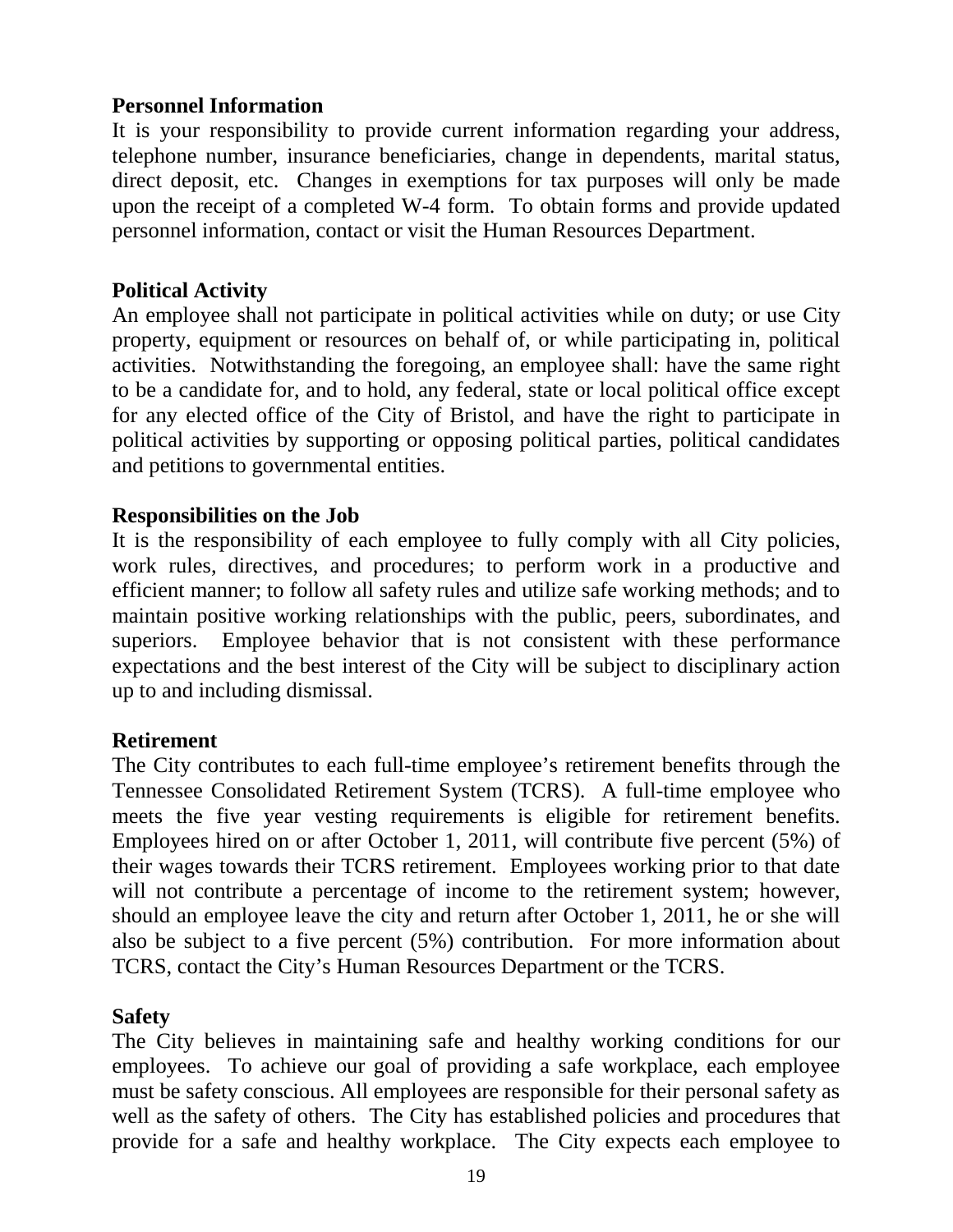# <span id="page-18-0"></span>**Personnel Information**

It is your responsibility to provide current information regarding your address, telephone number, insurance beneficiaries, change in dependents, marital status, direct deposit, etc. Changes in exemptions for tax purposes will only be made upon the receipt of a completed W-4 form. To obtain forms and provide updated personnel information, contact or visit the Human Resources Department.

# <span id="page-18-1"></span>**Political Activity**

An employee shall not participate in political activities while on duty; or use City property, equipment or resources on behalf of, or while participating in, political activities. Notwithstanding the foregoing, an employee shall: have the same right to be a candidate for, and to hold, any federal, state or local political office except for any elected office of the City of Bristol, and have the right to participate in political activities by supporting or opposing political parties, political candidates and petitions to governmental entities.

#### <span id="page-18-2"></span>**Responsibilities on the Job**

It is the responsibility of each employee to fully comply with all City policies, work rules, directives, and procedures; to perform work in a productive and efficient manner; to follow all safety rules and utilize safe working methods; and to maintain positive working relationships with the public, peers, subordinates, and superiors. Employee behavior that is not consistent with these performance expectations and the best interest of the City will be subject to disciplinary action up to and including dismissal.

#### <span id="page-18-3"></span>**Retirement**

The City contributes to each full-time employee's retirement benefits through the Tennessee Consolidated Retirement System (TCRS). A full-time employee who meets the five year vesting requirements is eligible for retirement benefits. Employees hired on or after October 1, 2011, will contribute five percent (5%) of their wages towards their TCRS retirement. Employees working prior to that date will not contribute a percentage of income to the retirement system; however, should an employee leave the city and return after October 1, 2011, he or she will also be subject to a five percent (5%) contribution. For more information about TCRS, contact the City's Human Resources Department or the TCRS.

#### <span id="page-18-4"></span>**Safety**

The City believes in maintaining safe and healthy working conditions for our employees. To achieve our goal of providing a safe workplace, each employee must be safety conscious. All employees are responsible for their personal safety as well as the safety of others. The City has established policies and procedures that provide for a safe and healthy workplace. The City expects each employee to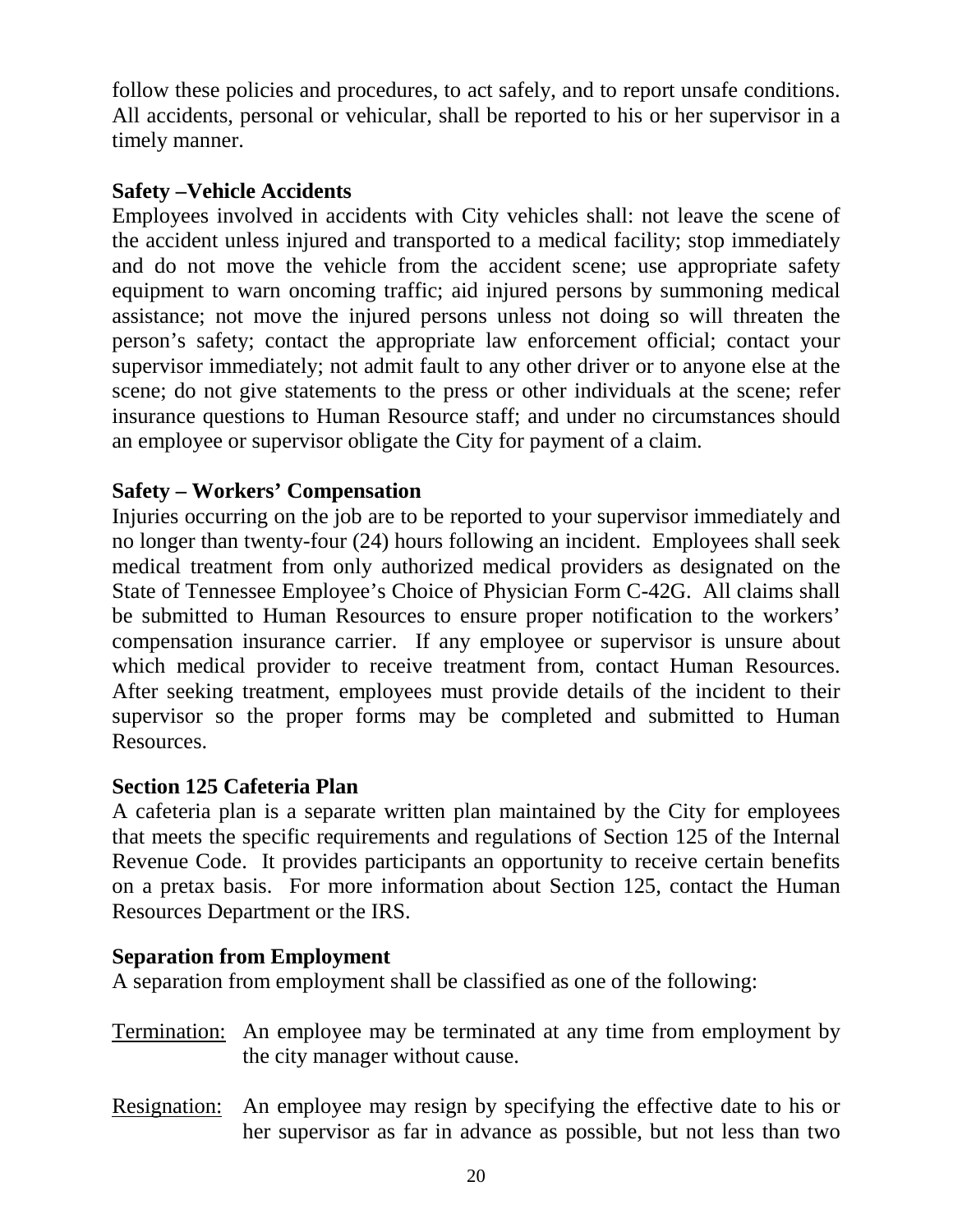follow these policies and procedures, to act safely, and to report unsafe conditions. All accidents, personal or vehicular, shall be reported to his or her supervisor in a timely manner.

# <span id="page-19-0"></span>**Safety –Vehicle Accidents**

Employees involved in accidents with City vehicles shall: not leave the scene of the accident unless injured and transported to a medical facility; stop immediately and do not move the vehicle from the accident scene; use appropriate safety equipment to warn oncoming traffic; aid injured persons by summoning medical assistance; not move the injured persons unless not doing so will threaten the person's safety; contact the appropriate law enforcement official; contact your supervisor immediately; not admit fault to any other driver or to anyone else at the scene; do not give statements to the press or other individuals at the scene; refer insurance questions to Human Resource staff; and under no circumstances should an employee or supervisor obligate the City for payment of a claim.

# <span id="page-19-1"></span>**Safety – Workers' Compensation**

Injuries occurring on the job are to be reported to your supervisor immediately and no longer than twenty-four (24) hours following an incident. Employees shall seek medical treatment from only authorized medical providers as designated on the State of Tennessee Employee's Choice of Physician Form C-42G. All claims shall be submitted to Human Resources to ensure proper notification to the workers' compensation insurance carrier. If any employee or supervisor is unsure about which medical provider to receive treatment from, contact Human Resources. After seeking treatment, employees must provide details of the incident to their supervisor so the proper forms may be completed and submitted to Human Resources.

# <span id="page-19-2"></span>**Section 125 Cafeteria Plan**

A cafeteria plan is a separate written plan maintained by the City for employees that meets the specific requirements and regulations of Section 125 of the Internal Revenue Code. It provides participants an opportunity to receive certain benefits on a pretax basis. For more information about Section 125, contact the Human Resources Department or the IRS.

# <span id="page-19-3"></span>**Separation from Employment**

A separation from employment shall be classified as one of the following:

- Termination: An employee may be terminated at any time from employment by the city manager without cause.
- Resignation: An employee may resign by specifying the effective date to his or her supervisor as far in advance as possible, but not less than two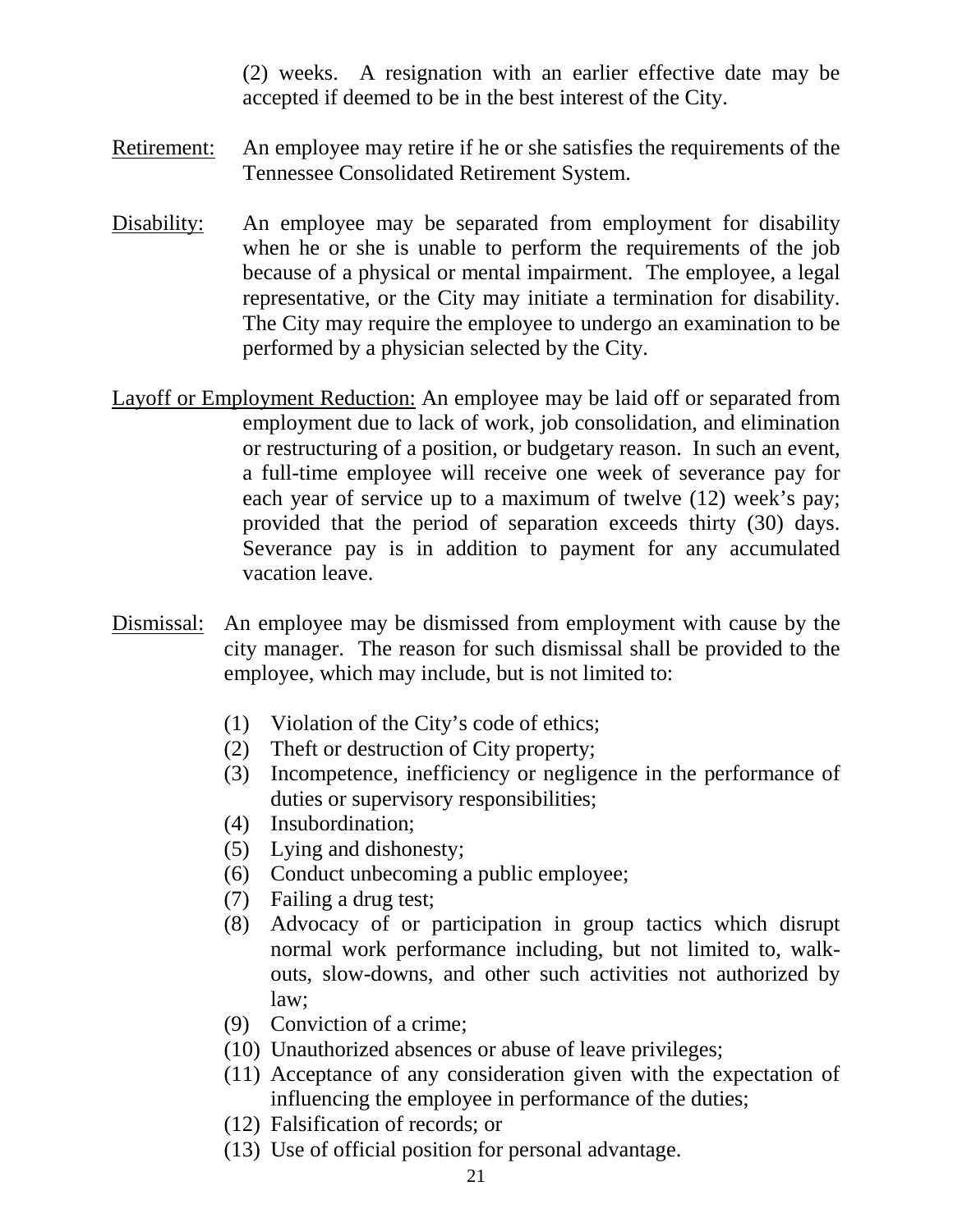(2) weeks. A resignation with an earlier effective date may be accepted if deemed to be in the best interest of the City.

- Retirement: An employee may retire if he or she satisfies the requirements of the Tennessee Consolidated Retirement System.
- Disability: An employee may be separated from employment for disability when he or she is unable to perform the requirements of the job because of a physical or mental impairment. The employee, a legal representative, or the City may initiate a termination for disability. The City may require the employee to undergo an examination to be performed by a physician selected by the City.
- Layoff or Employment Reduction: An employee may be laid off or separated from employment due to lack of work, job consolidation, and elimination or restructuring of a position, or budgetary reason. In such an event, a full-time employee will receive one week of severance pay for each year of service up to a maximum of twelve (12) week's pay; provided that the period of separation exceeds thirty (30) days. Severance pay is in addition to payment for any accumulated vacation leave.
- Dismissal: An employee may be dismissed from employment with cause by the city manager. The reason for such dismissal shall be provided to the employee, which may include, but is not limited to:
	- (1) Violation of the City's code of ethics;
	- (2) Theft or destruction of City property;
	- (3) Incompetence, inefficiency or negligence in the performance of duties or supervisory responsibilities;
	- (4) Insubordination;
	- (5) Lying and dishonesty;
	- (6) Conduct unbecoming a public employee;
	- (7) Failing a drug test;
	- (8) Advocacy of or participation in group tactics which disrupt normal work performance including, but not limited to, walkouts, slow-downs, and other such activities not authorized by law;
	- (9) Conviction of a crime;
	- (10) Unauthorized absences or abuse of leave privileges;
	- (11) Acceptance of any consideration given with the expectation of influencing the employee in performance of the duties;
	- (12) Falsification of records; or
	- (13) Use of official position for personal advantage.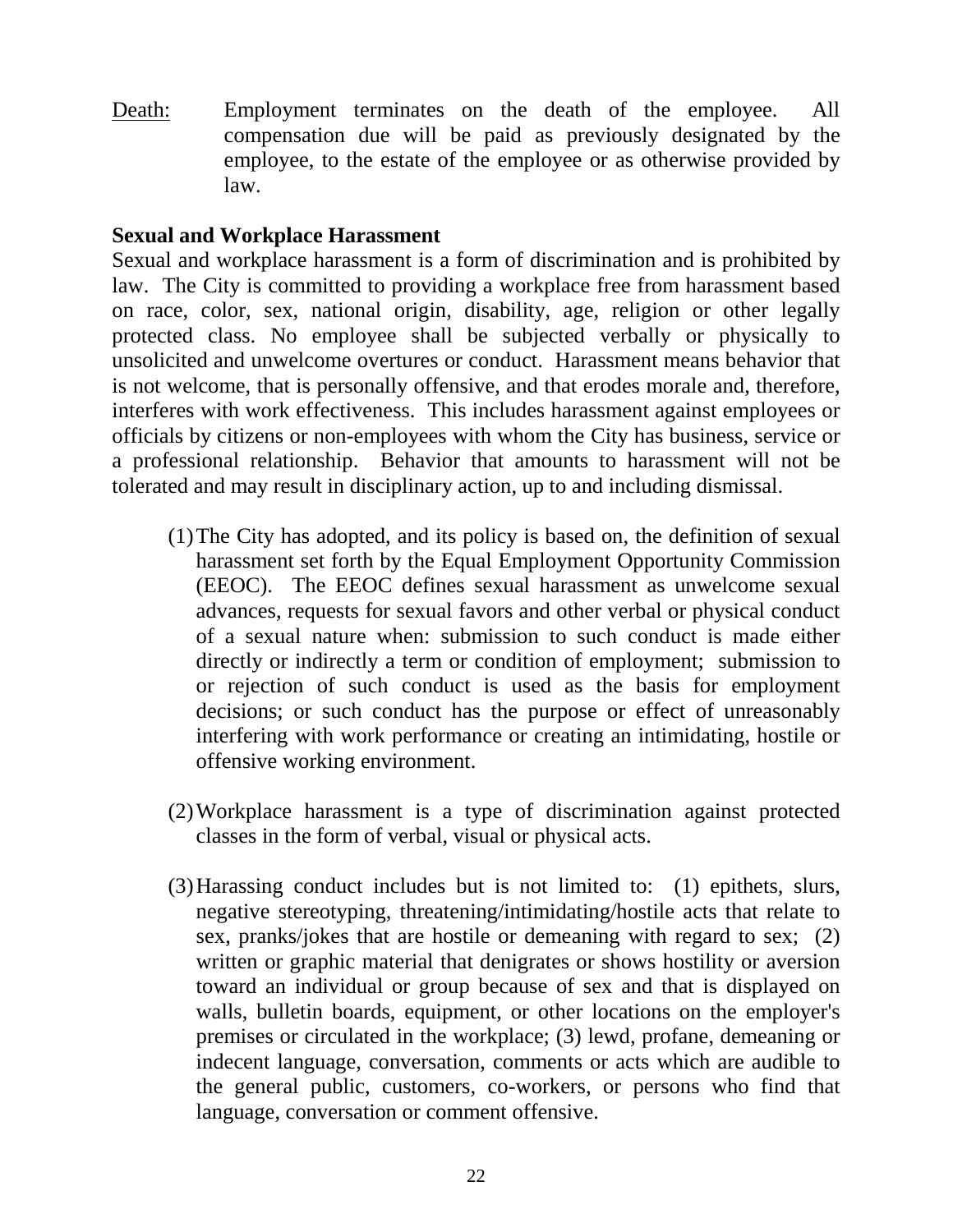Death: Employment terminates on the death of the employee. All compensation due will be paid as previously designated by the employee, to the estate of the employee or as otherwise provided by law.

## <span id="page-21-0"></span>**Sexual and Workplace Harassment**

Sexual and workplace harassment is a form of discrimination and is prohibited by law. The City is committed to providing a workplace free from harassment based on race, color, sex, national origin, disability, age, religion or other legally protected class. No employee shall be subjected verbally or physically to unsolicited and unwelcome overtures or conduct. Harassment means behavior that is not welcome, that is personally offensive, and that erodes morale and, therefore, interferes with work effectiveness. This includes harassment against employees or officials by citizens or non-employees with whom the City has business, service or a professional relationship. Behavior that amounts to harassment will not be tolerated and may result in disciplinary action, up to and including dismissal.

- (1)The City has adopted, and its policy is based on, the definition of sexual harassment set forth by the Equal Employment Opportunity Commission (EEOC). The EEOC defines sexual harassment as unwelcome sexual advances, requests for sexual favors and other verbal or physical conduct of a sexual nature when: submission to such conduct is made either directly or indirectly a term or condition of employment; submission to or rejection of such conduct is used as the basis for employment decisions; or such conduct has the purpose or effect of unreasonably interfering with work performance or creating an intimidating, hostile or offensive working environment.
- (2)Workplace harassment is a type of discrimination against protected classes in the form of verbal, visual or physical acts.
- (3)Harassing conduct includes but is not limited to: (1) epithets, slurs, negative stereotyping, threatening/intimidating/hostile acts that relate to sex, pranks/jokes that are hostile or demeaning with regard to sex; (2) written or graphic material that denigrates or shows hostility or aversion toward an individual or group because of sex and that is displayed on walls, bulletin boards, equipment, or other locations on the employer's premises or circulated in the workplace; (3) lewd, profane, demeaning or indecent language, conversation, comments or acts which are audible to the general public, customers, co-workers, or persons who find that language, conversation or comment offensive.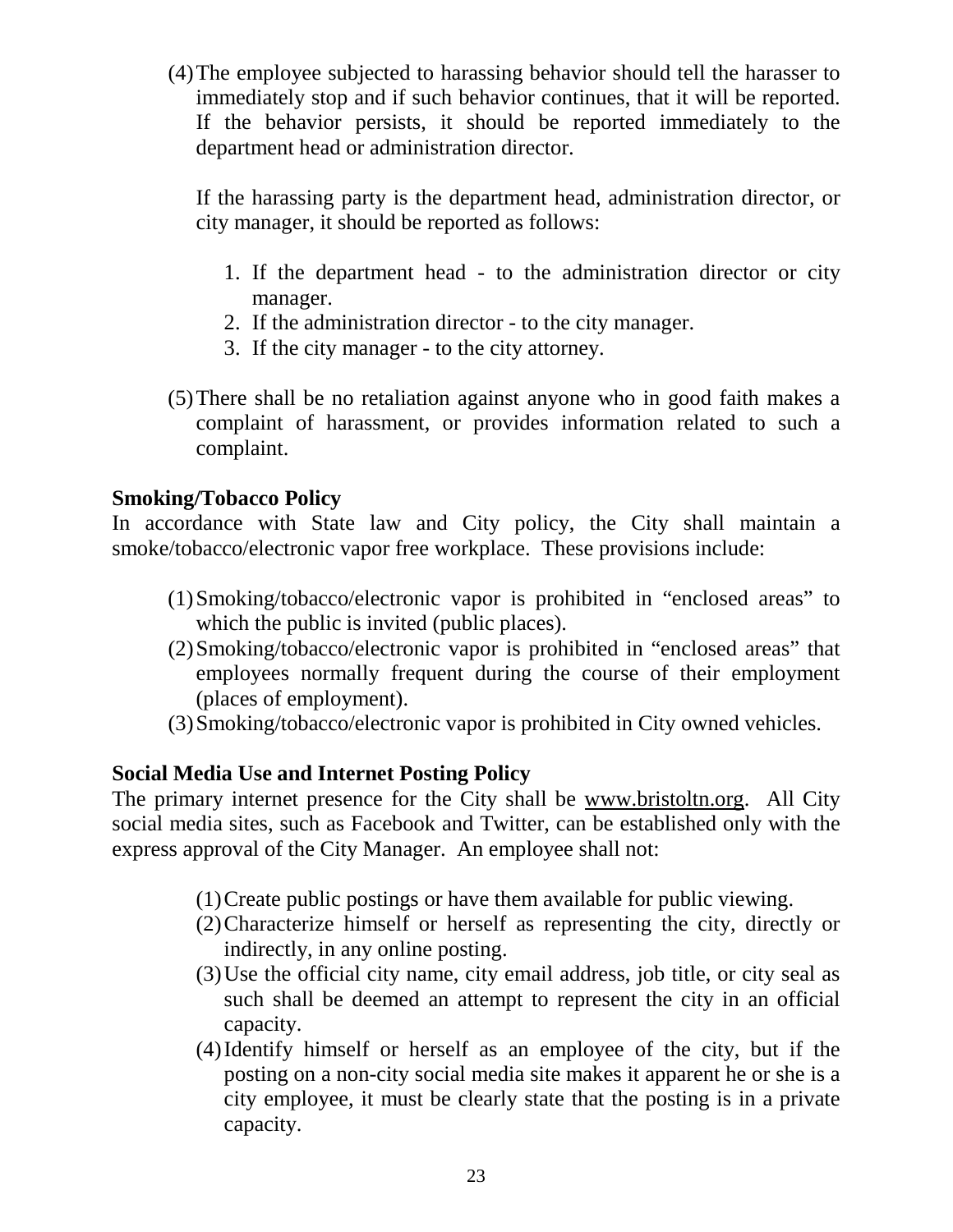(4)The employee subjected to harassing behavior should tell the harasser to immediately stop and if such behavior continues, that it will be reported. If the behavior persists, it should be reported immediately to the department head or administration director.

If the harassing party is the department head, administration director, or city manager, it should be reported as follows:

- 1. If the department head to the administration director or city manager.
- 2. If the administration director to the city manager.
- 3. If the city manager to the city attorney.
- (5)There shall be no retaliation against anyone who in good faith makes a complaint of harassment, or provides information related to such a complaint.

# <span id="page-22-0"></span>**Smoking/Tobacco Policy**

In accordance with State law and City policy, the City shall maintain a smoke/tobacco/electronic vapor free workplace. These provisions include:

- (1)Smoking/tobacco/electronic vapor is prohibited in "enclosed areas" to which the public is invited (public places).
- (2)Smoking/tobacco/electronic vapor is prohibited in "enclosed areas" that employees normally frequent during the course of their employment (places of employment).
- (3)Smoking/tobacco/electronic vapor is prohibited in City owned vehicles.

#### **Social Media Use and Internet Posting Policy**

The primary internet presence for the City shall be [www.bristoltn.org.](http://www.bristoltn.org/) All City social media sites, such as Facebook and Twitter, can be established only with the express approval of the City Manager. An employee shall not:

- (1)Create public postings or have them available for public viewing.
- (2)Characterize himself or herself as representing the city, directly or indirectly, in any online posting.
- (3)Use the official city name, city email address, job title, or city seal as such shall be deemed an attempt to represent the city in an official capacity.
- (4)Identify himself or herself as an employee of the city, but if the posting on a non-city social media site makes it apparent he or she is a city employee, it must be clearly state that the posting is in a private capacity.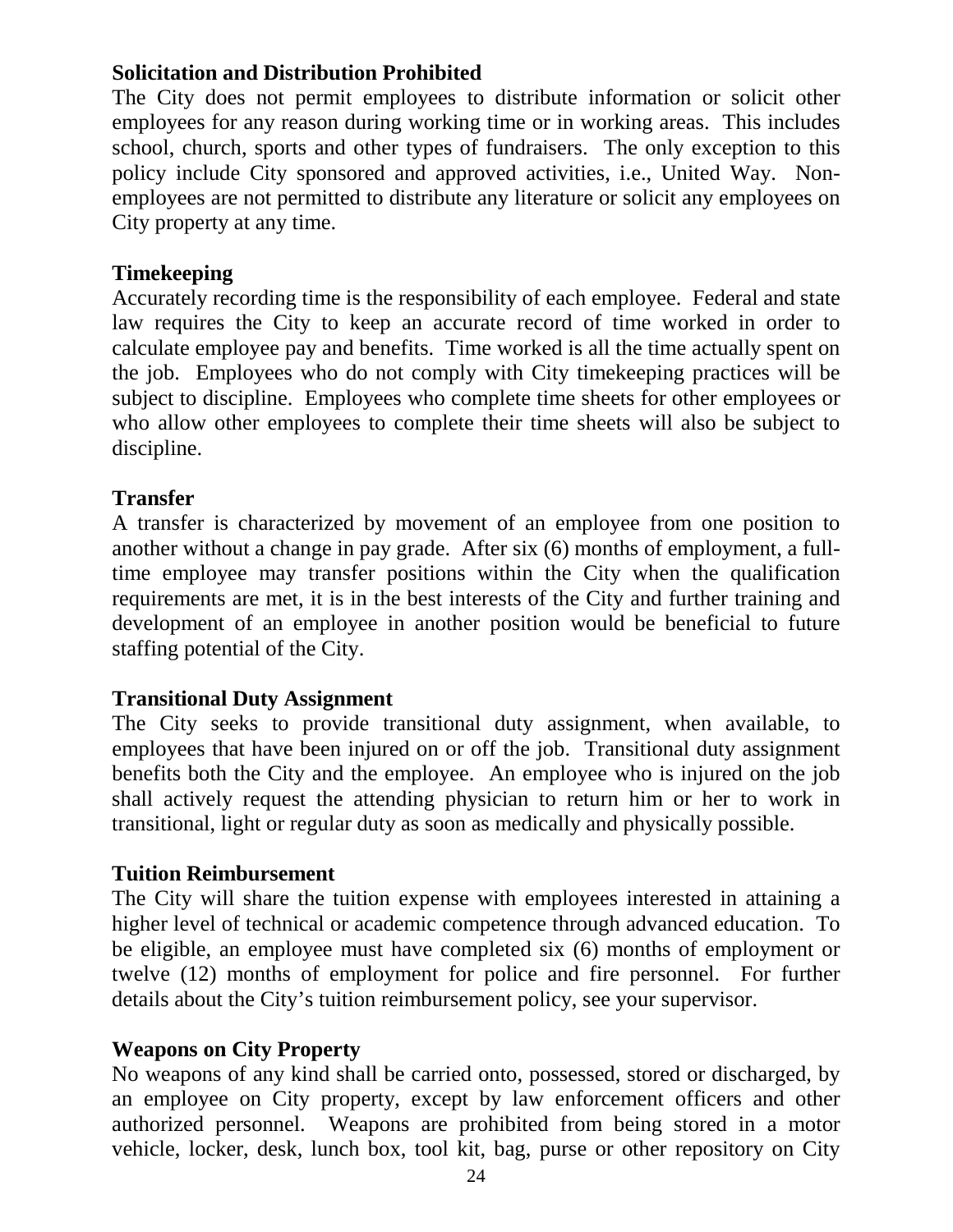# <span id="page-23-0"></span>**Solicitation and Distribution Prohibited**

The City does not permit employees to distribute information or solicit other employees for any reason during working time or in working areas. This includes school, church, sports and other types of fundraisers. The only exception to this policy include City sponsored and approved activities, i.e., United Way. Nonemployees are not permitted to distribute any literature or solicit any employees on City property at any time.

# <span id="page-23-1"></span>**Timekeeping**

Accurately recording time is the responsibility of each employee. Federal and state law requires the City to keep an accurate record of time worked in order to calculate employee pay and benefits. Time worked is all the time actually spent on the job. Employees who do not comply with City timekeeping practices will be subject to discipline. Employees who complete time sheets for other employees or who allow other employees to complete their time sheets will also be subject to discipline.

# <span id="page-23-2"></span>**Transfer**

A transfer is characterized by movement of an employee from one position to another without a change in pay grade. After six (6) months of employment, a fulltime employee may transfer positions within the City when the qualification requirements are met, it is in the best interests of the City and further training and development of an employee in another position would be beneficial to future staffing potential of the City.

#### <span id="page-23-3"></span>**Transitional Duty Assignment**

The City seeks to provide transitional duty assignment, when available, to employees that have been injured on or off the job. Transitional duty assignment benefits both the City and the employee. An employee who is injured on the job shall actively request the attending physician to return him or her to work in transitional, light or regular duty as soon as medically and physically possible.

#### <span id="page-23-4"></span>**Tuition Reimbursement**

The City will share the tuition expense with employees interested in attaining a higher level of technical or academic competence through advanced education. To be eligible, an employee must have completed six (6) months of employment or twelve (12) months of employment for police and fire personnel. For further details about the City's tuition reimbursement policy, see your supervisor.

# <span id="page-23-5"></span>**Weapons on City Property**

No weapons of any kind shall be carried onto, possessed, stored or discharged, by an employee on City property, except by law enforcement officers and other authorized personnel. Weapons are prohibited from being stored in a motor vehicle, locker, desk, lunch box, tool kit, bag, purse or other repository on City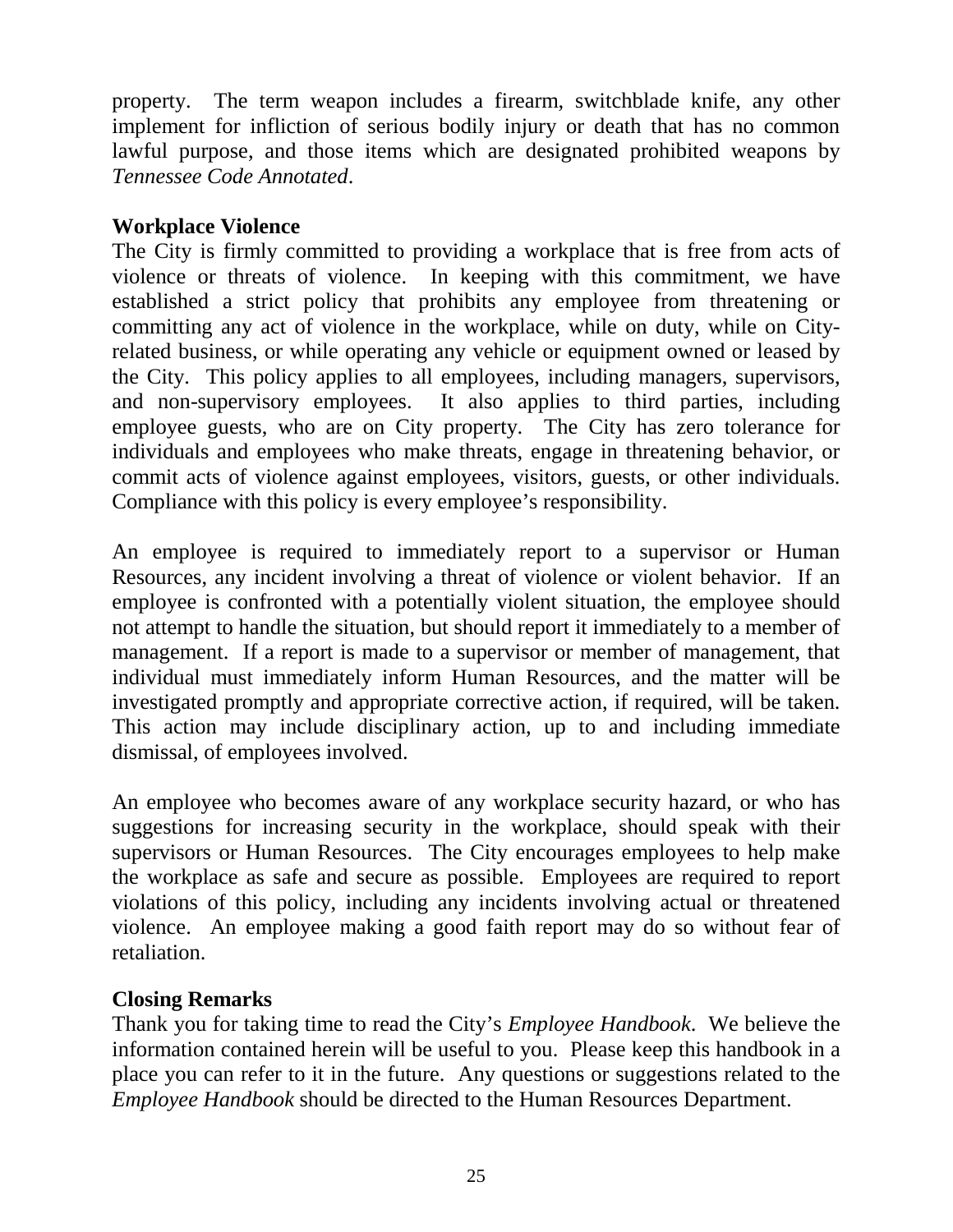property. The term weapon includes a firearm, switchblade knife, any other implement for infliction of serious bodily injury or death that has no common lawful purpose, and those items which are designated prohibited weapons by *Tennessee Code Annotated*.

# <span id="page-24-0"></span>**Workplace Violence**

The City is firmly committed to providing a workplace that is free from acts of violence or threats of violence. In keeping with this commitment, we have established a strict policy that prohibits any employee from threatening or committing any act of violence in the workplace, while on duty, while on Cityrelated business, or while operating any vehicle or equipment owned or leased by the City. This policy applies to all employees, including managers, supervisors, and non-supervisory employees. It also applies to third parties, including employee guests, who are on City property. The City has zero tolerance for individuals and employees who make threats, engage in threatening behavior, or commit acts of violence against employees, visitors, guests, or other individuals. Compliance with this policy is every employee's responsibility.

An employee is required to immediately report to a supervisor or Human Resources, any incident involving a threat of violence or violent behavior. If an employee is confronted with a potentially violent situation, the employee should not attempt to handle the situation, but should report it immediately to a member of management. If a report is made to a supervisor or member of management, that individual must immediately inform Human Resources, and the matter will be investigated promptly and appropriate corrective action, if required, will be taken. This action may include disciplinary action, up to and including immediate dismissal, of employees involved.

An employee who becomes aware of any workplace security hazard, or who has suggestions for increasing security in the workplace, should speak with their supervisors or Human Resources. The City encourages employees to help make the workplace as safe and secure as possible. Employees are required to report violations of this policy, including any incidents involving actual or threatened violence. An employee making a good faith report may do so without fear of retaliation.

# <span id="page-24-1"></span>**Closing Remarks**

Thank you for taking time to read the City's *Employee Handbook*. We believe the information contained herein will be useful to you. Please keep this handbook in a place you can refer to it in the future. Any questions or suggestions related to the *Employee Handbook* should be directed to the Human Resources Department.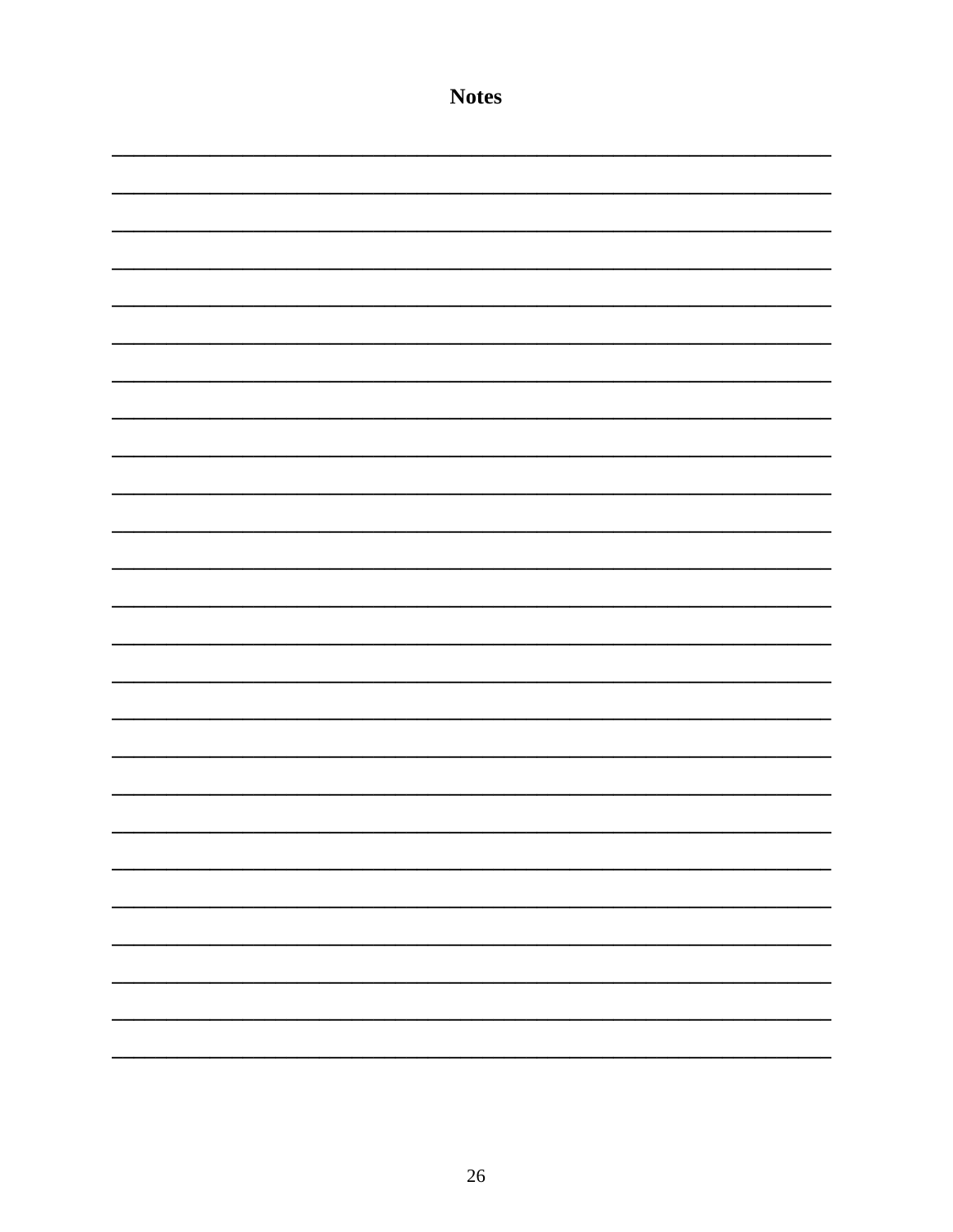| <b>Notes</b> |
|--------------|
|              |
|              |
|              |
|              |
|              |
|              |
|              |
|              |
|              |
|              |
|              |
|              |
|              |
|              |
|              |
|              |
|              |
|              |
|              |
|              |
|              |
| j,           |
|              |
|              |
|              |
|              |